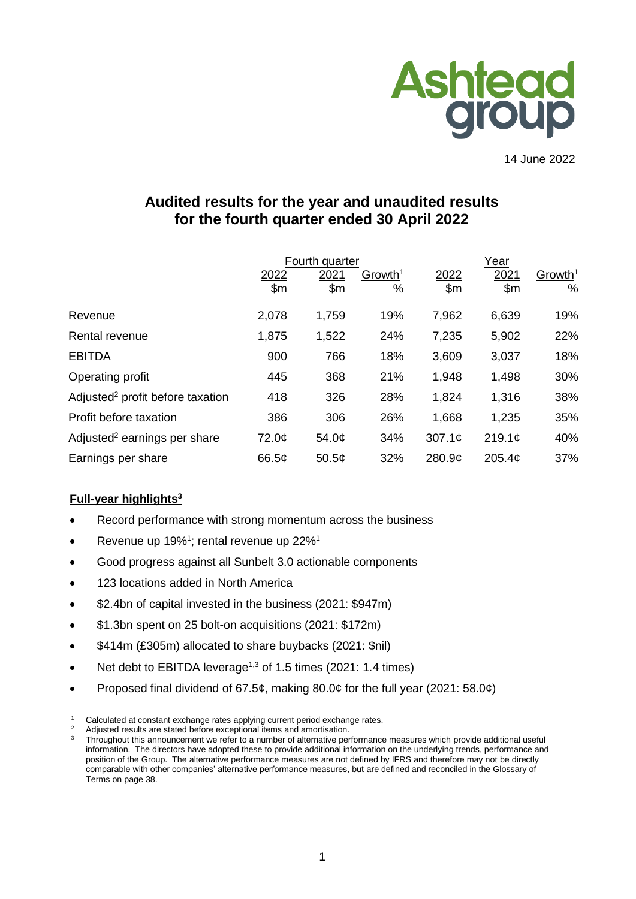

14 June 2022

# **Audited results for the year and unaudited results for the fourth quarter ended 30 April 2022**

|                                              |       | Fourth quarter     |                     | Year   |                    |                     |
|----------------------------------------------|-------|--------------------|---------------------|--------|--------------------|---------------------|
|                                              | 2022  | 2021               | Growth <sup>1</sup> | 2022   | 2021               | Growth <sup>1</sup> |
|                                              | \$m   | \$m\$              | %                   | \$m    | \$m\$              | $\%$                |
| Revenue                                      | 2,078 | 1,759              | 19%                 | 7,962  | 6,639              | 19%                 |
| Rental revenue                               | 1,875 | 1,522              | 24%                 | 7,235  | 5,902              | 22%                 |
| <b>EBITDA</b>                                | 900   | 766                | 18%                 | 3,609  | 3,037              | 18%                 |
| Operating profit                             | 445   | 368                | 21%                 | 1,948  | 1,498              | 30%                 |
| Adjusted <sup>2</sup> profit before taxation | 418   | 326                | 28%                 | 1,824  | 1,316              | 38%                 |
| Profit before taxation                       | 386   | 306                | 26%                 | 1,668  | 1,235              | 35%                 |
| Adjusted <sup>2</sup> earnings per share     | 72.0¢ | 54.0¢              | 34%                 | 307.1c | 219.1c             | 40%                 |
| Earnings per share                           | 66.5¢ | 50.5 $\mathcal{L}$ | 32%                 | 280.9¢ | 205.4 <sub>c</sub> | 37%                 |

# **Full-year highlights<sup>3</sup>**

- Record performance with strong momentum across the business
- Revenue up 19%<sup>1</sup>; rental revenue up 22%<sup>1</sup>
- Good progress against all Sunbelt 3.0 actionable components
- 123 locations added in North America
- \$2.4bn of capital invested in the business (2021: \$947m)
- \$1.3bn spent on 25 bolt-on acquisitions (2021: \$172m)
- \$414m (£305m) allocated to share buybacks (2021: \$nil)
- Net debt to EBITDA leverage<sup>1,3</sup> of 1.5 times (2021: 1.4 times)
- Proposed final dividend of 67.5¢, making 80.0¢ for the full year (2021: 58.0¢)

Calculated at constant exchange rates applying current period exchange rates.

Adjusted results are stated before exceptional items and amortisation.

<sup>3</sup> Throughout this announcement we refer to a number of alternative performance measures which provide additional useful information. The directors have adopted these to provide additional information on the underlying trends, performance and position of the Group. The alternative performance measures are not defined by IFRS and therefore may not be directly comparable with other companies' alternative performance measures, but are defined and reconciled in the Glossary of Terms on page 38.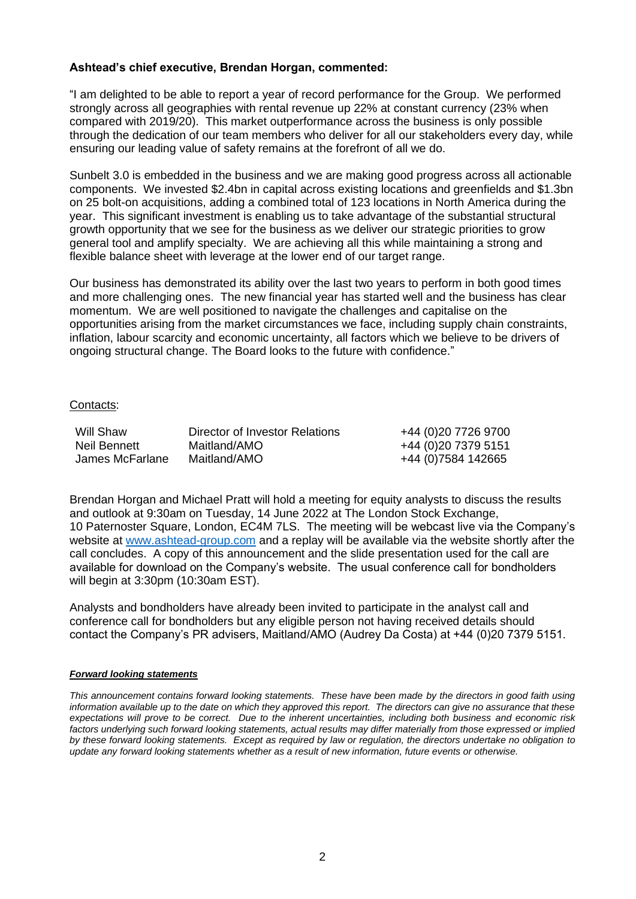# **Ashtead's chief executive, Brendan Horgan, commented:**

"I am delighted to be able to report a year of record performance for the Group. We performed strongly across all geographies with rental revenue up 22% at constant currency (23% when compared with 2019/20). This market outperformance across the business is only possible through the dedication of our team members who deliver for all our stakeholders every day, while ensuring our leading value of safety remains at the forefront of all we do.

Sunbelt 3.0 is embedded in the business and we are making good progress across all actionable components. We invested \$2.4bn in capital across existing locations and greenfields and \$1.3bn on 25 bolt-on acquisitions, adding a combined total of 123 locations in North America during the year. This significant investment is enabling us to take advantage of the substantial structural growth opportunity that we see for the business as we deliver our strategic priorities to grow general tool and amplify specialty. We are achieving all this while maintaining a strong and flexible balance sheet with leverage at the lower end of our target range.

Our business has demonstrated its ability over the last two years to perform in both good times and more challenging ones. The new financial year has started well and the business has clear momentum. We are well positioned to navigate the challenges and capitalise on the opportunities arising from the market circumstances we face, including supply chain constraints, inflation, labour scarcity and economic uncertainty, all factors which we believe to be drivers of ongoing structural change. The Board looks to the future with confidence."

## Contacts:

| Will Shaw       | Director of Investor Relations | +44 (0)20 7726 9700 |
|-----------------|--------------------------------|---------------------|
| Neil Bennett    | Maitland/AMO                   | +44 (0)20 7379 5151 |
| James McFarlane | Maitland/AMO                   | +44 (0)7584 142665  |

Brendan Horgan and Michael Pratt will hold a meeting for equity analysts to discuss the results and outlook at 9:30am on Tuesday, 14 June 2022 at The London Stock Exchange, 10 Paternoster Square, London, EC4M 7LS. The meeting will be webcast live via the Company's website at [www.ashtead-group.com](http://www.ashtead-group.com/) and a replay will be available via the website shortly after the call concludes. A copy of this announcement and the slide presentation used for the call are available for download on the Company's website. The usual conference call for bondholders will begin at 3:30pm (10:30am EST).

Analysts and bondholders have already been invited to participate in the analyst call and conference call for bondholders but any eligible person not having received details should contact the Company's PR advisers, Maitland/AMO (Audrey Da Costa) at +44 (0)20 7379 5151.

#### *Forward looking statements*

*This announcement contains forward looking statements. These have been made by the directors in good faith using information available up to the date on which they approved this report. The directors can give no assurance that these expectations will prove to be correct. Due to the inherent uncertainties, including both business and economic risk*  factors underlying such forward looking statements, actual results may differ materially from those expressed or implied *by these forward looking statements. Except as required by law or regulation, the directors undertake no obligation to update any forward looking statements whether as a result of new information, future events or otherwise.*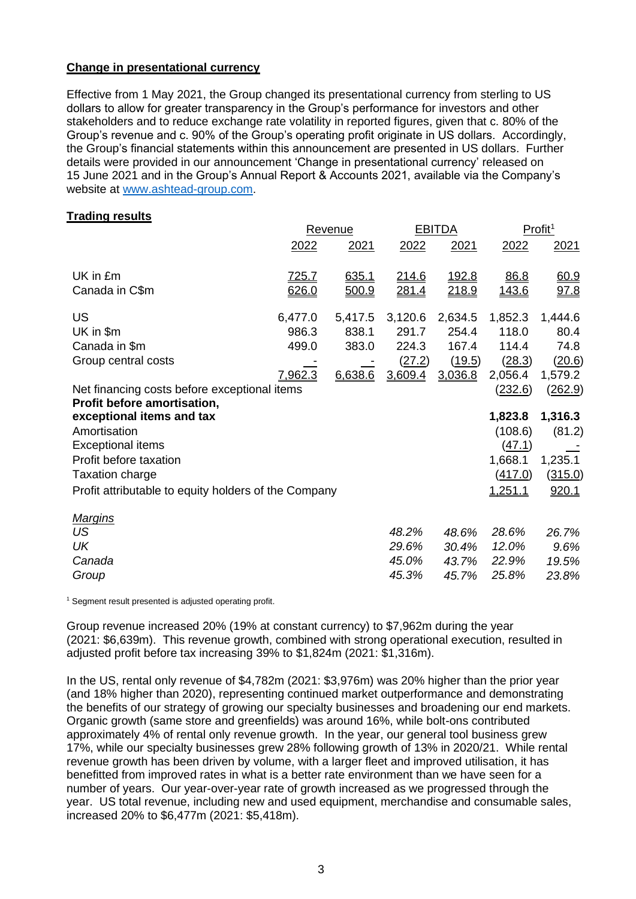## **Change in presentational currency**

Effective from 1 May 2021, the Group changed its presentational currency from sterling to US dollars to allow for greater transparency in the Group's performance for investors and other stakeholders and to reduce exchange rate volatility in reported figures, given that c. 80% of the Group's revenue and c. 90% of the Group's operating profit originate in US dollars. Accordingly, the Group's financial statements within this announcement are presented in US dollars. Further details were provided in our announcement 'Change in presentational currency' released on 15 June 2021 and in the Group's Annual Report & Accounts 2021, available via the Company's website at [www.ashtead-group.com.](http://www.ashtead-group.com/)

## **Trading results**

|                                              |         |                                                                        |              | Profit <sup>1</sup>    |                                         |
|----------------------------------------------|---------|------------------------------------------------------------------------|--------------|------------------------|-----------------------------------------|
| 2022                                         | 2021    | 2022                                                                   | 2021         | 2022                   | 2021                                    |
| <u>725.7</u>                                 | 635.1   | 214.6                                                                  | <u>192.8</u> | 86.8                   | 60.9                                    |
| 626.0                                        | 500.9   | 281.4                                                                  |              | <u>143.6</u>           | 97.8                                    |
| 6,477.0                                      | 5,417.5 | 3,120.6                                                                | 2,634.5      | 1,852.3                | 1,444.6                                 |
| 986.3                                        | 838.1   | 291.7                                                                  | 254.4        | 118.0                  | 80.4                                    |
| 499.0                                        | 383.0   | 224.3                                                                  | 167.4        | 114.4                  | 74.8                                    |
|                                              |         | (27.2)                                                                 | (19.5)       | (28.3)                 | (20.6)                                  |
| <u>7.962.3</u>                               | 6.638.6 | 3,609.4                                                                | 3,036.8      | 2,056.4                | 1,579.2                                 |
| Net financing costs before exceptional items |         |                                                                        |              | (232.6)                | (262.9)                                 |
|                                              |         |                                                                        |              |                        |                                         |
|                                              |         |                                                                        |              |                        | 1,316.3                                 |
|                                              |         |                                                                        |              |                        | (81.2)                                  |
|                                              |         |                                                                        |              |                        |                                         |
|                                              |         |                                                                        |              |                        | 1,235.1                                 |
|                                              |         |                                                                        |              | <u>(417.0)</u>         | (315.0)                                 |
|                                              |         |                                                                        |              | 1,251.1                | 920.1                                   |
|                                              |         |                                                                        |              |                        |                                         |
|                                              |         | 48.2%                                                                  | 48.6%        | 28.6%                  | 26.7%                                   |
|                                              |         | 29.6%                                                                  | 30.4%        | 12.0%                  | 9.6%                                    |
|                                              |         | 45.0%                                                                  | 43.7%        | 22.9%                  | 19.5%                                   |
|                                              |         | 45.3%                                                                  | 45.7%        | 25.8%                  | 23.8%                                   |
|                                              |         | <b>Revenue</b><br>Profit attributable to equity holders of the Company |              | <b>EBITDA</b><br>218.9 | 1,823.8<br>(108.6)<br>(47.1)<br>1,668.1 |

<sup>1</sup> Segment result presented is adjusted operating profit.

Group revenue increased 20% (19% at constant currency) to \$7,962m during the year (2021: \$6,639m). This revenue growth, combined with strong operational execution, resulted in adjusted profit before tax increasing 39% to \$1,824m (2021: \$1,316m).

In the US, rental only revenue of \$4,782m (2021: \$3,976m) was 20% higher than the prior year (and 18% higher than 2020), representing continued market outperformance and demonstrating the benefits of our strategy of growing our specialty businesses and broadening our end markets. Organic growth (same store and greenfields) was around 16%, while bolt-ons contributed approximately 4% of rental only revenue growth. In the year, our general tool business grew 17%, while our specialty businesses grew 28% following growth of 13% in 2020/21. While rental revenue growth has been driven by volume, with a larger fleet and improved utilisation, it has benefitted from improved rates in what is a better rate environment than we have seen for a number of years. Our year-over-year rate of growth increased as we progressed through the year. US total revenue, including new and used equipment, merchandise and consumable sales, increased 20% to \$6,477m (2021: \$5,418m).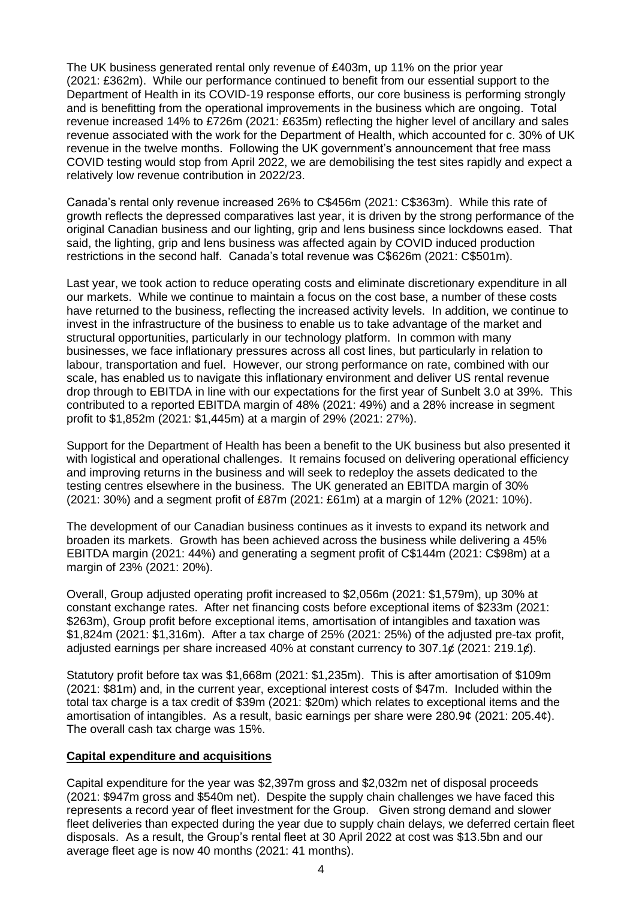The UK business generated rental only revenue of £403m, up 11% on the prior year (2021: £362m). While our performance continued to benefit from our essential support to the Department of Health in its COVID-19 response efforts, our core business is performing strongly and is benefitting from the operational improvements in the business which are ongoing. Total revenue increased 14% to £726m (2021: £635m) reflecting the higher level of ancillary and sales revenue associated with the work for the Department of Health, which accounted for c. 30% of UK revenue in the twelve months. Following the UK government's announcement that free mass COVID testing would stop from April 2022, we are demobilising the test sites rapidly and expect a relatively low revenue contribution in 2022/23.

Canada's rental only revenue increased 26% to C\$456m (2021: C\$363m). While this rate of growth reflects the depressed comparatives last year, it is driven by the strong performance of the original Canadian business and our lighting, grip and lens business since lockdowns eased. That said, the lighting, grip and lens business was affected again by COVID induced production restrictions in the second half. Canada's total revenue was C\$626m (2021: C\$501m).

Last year, we took action to reduce operating costs and eliminate discretionary expenditure in all our markets. While we continue to maintain a focus on the cost base, a number of these costs have returned to the business, reflecting the increased activity levels. In addition, we continue to invest in the infrastructure of the business to enable us to take advantage of the market and structural opportunities, particularly in our technology platform. In common with many businesses, we face inflationary pressures across all cost lines, but particularly in relation to labour, transportation and fuel. However, our strong performance on rate, combined with our scale, has enabled us to navigate this inflationary environment and deliver US rental revenue drop through to EBITDA in line with our expectations for the first year of Sunbelt 3.0 at 39%. This contributed to a reported EBITDA margin of 48% (2021: 49%) and a 28% increase in segment profit to \$1,852m (2021: \$1,445m) at a margin of 29% (2021: 27%).

Support for the Department of Health has been a benefit to the UK business but also presented it with logistical and operational challenges. It remains focused on delivering operational efficiency and improving returns in the business and will seek to redeploy the assets dedicated to the testing centres elsewhere in the business. The UK generated an EBITDA margin of 30% (2021: 30%) and a segment profit of £87m (2021: £61m) at a margin of 12% (2021: 10%).

The development of our Canadian business continues as it invests to expand its network and broaden its markets. Growth has been achieved across the business while delivering a 45% EBITDA margin (2021: 44%) and generating a segment profit of C\$144m (2021: C\$98m) at a margin of 23% (2021: 20%).

Overall, Group adjusted operating profit increased to \$2,056m (2021: \$1,579m), up 30% at constant exchange rates. After net financing costs before exceptional items of \$233m (2021: \$263m), Group profit before exceptional items, amortisation of intangibles and taxation was \$1,824m (2021: \$1,316m). After a tax charge of 25% (2021: 25%) of the adjusted pre-tax profit, adjusted earnings per share increased 40% at constant currency to  $307.1¢$  (2021: 219.1¢).

Statutory profit before tax was \$1,668m (2021: \$1,235m). This is after amortisation of \$109m (2021: \$81m) and, in the current year, exceptional interest costs of \$47m. Included within the total tax charge is a tax credit of \$39m (2021: \$20m) which relates to exceptional items and the amortisation of intangibles. As a result, basic earnings per share were 280.9¢ (2021: 205.4¢). The overall cash tax charge was 15%.

# **Capital expenditure and acquisitions**

Capital expenditure for the year was \$2,397m gross and \$2,032m net of disposal proceeds (2021: \$947m gross and \$540m net). Despite the supply chain challenges we have faced this represents a record year of fleet investment for the Group. Given strong demand and slower fleet deliveries than expected during the year due to supply chain delays, we deferred certain fleet disposals. As a result, the Group's rental fleet at 30 April 2022 at cost was \$13.5bn and our average fleet age is now 40 months (2021: 41 months).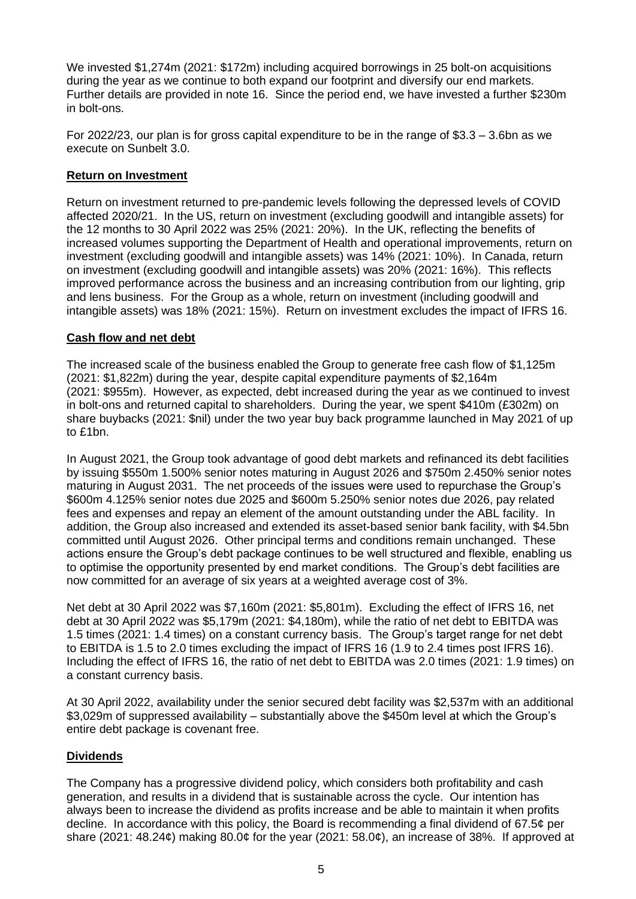We invested \$1,274m (2021: \$172m) including acquired borrowings in 25 bolt-on acquisitions during the year as we continue to both expand our footprint and diversify our end markets. Further details are provided in note 16. Since the period end, we have invested a further \$230m in bolt-ons.

For 2022/23, our plan is for gross capital expenditure to be in the range of \$3.3 – 3.6bn as we execute on Sunbelt 3.0.

## **Return on Investment**

Return on investment returned to pre-pandemic levels following the depressed levels of COVID affected 2020/21. In the US, return on investment (excluding goodwill and intangible assets) for the 12 months to 30 April 2022 was 25% (2021: 20%). In the UK, reflecting the benefits of increased volumes supporting the Department of Health and operational improvements, return on investment (excluding goodwill and intangible assets) was 14% (2021: 10%). In Canada, return on investment (excluding goodwill and intangible assets) was 20% (2021: 16%). This reflects improved performance across the business and an increasing contribution from our lighting, grip and lens business. For the Group as a whole, return on investment (including goodwill and intangible assets) was 18% (2021: 15%). Return on investment excludes the impact of IFRS 16.

# **Cash flow and net debt**

The increased scale of the business enabled the Group to generate free cash flow of \$1,125m (2021: \$1,822m) during the year, despite capital expenditure payments of \$2,164m (2021: \$955m). However, as expected, debt increased during the year as we continued to invest in bolt-ons and returned capital to shareholders. During the year, we spent \$410m (£302m) on share buybacks (2021: \$nil) under the two year buy back programme launched in May 2021 of up to £1bn.

In August 2021, the Group took advantage of good debt markets and refinanced its debt facilities by issuing \$550m 1.500% senior notes maturing in August 2026 and \$750m 2.450% senior notes maturing in August 2031. The net proceeds of the issues were used to repurchase the Group's \$600m 4.125% senior notes due 2025 and \$600m 5.250% senior notes due 2026, pay related fees and expenses and repay an element of the amount outstanding under the ABL facility. In addition, the Group also increased and extended its asset-based senior bank facility, with \$4.5bn committed until August 2026. Other principal terms and conditions remain unchanged. These actions ensure the Group's debt package continues to be well structured and flexible, enabling us to optimise the opportunity presented by end market conditions. The Group's debt facilities are now committed for an average of six years at a weighted average cost of 3%.

Net debt at 30 April 2022 was \$7,160m (2021: \$5,801m). Excluding the effect of IFRS 16, net debt at 30 April 2022 was \$5,179m (2021: \$4,180m), while the ratio of net debt to EBITDA was 1.5 times (2021: 1.4 times) on a constant currency basis. The Group's target range for net debt to EBITDA is 1.5 to 2.0 times excluding the impact of IFRS 16 (1.9 to 2.4 times post IFRS 16). Including the effect of IFRS 16, the ratio of net debt to EBITDA was 2.0 times (2021: 1.9 times) on a constant currency basis.

At 30 April 2022, availability under the senior secured debt facility was \$2,537m with an additional \$3,029m of suppressed availability – substantially above the \$450m level at which the Group's entire debt package is covenant free.

# **Dividends**

The Company has a progressive dividend policy, which considers both profitability and cash generation, and results in a dividend that is sustainable across the cycle. Our intention has always been to increase the dividend as profits increase and be able to maintain it when profits decline. In accordance with this policy, the Board is recommending a final dividend of 67.5¢ per share (2021: 48.24¢) making 80.0¢ for the year (2021: 58.0¢), an increase of 38%. If approved at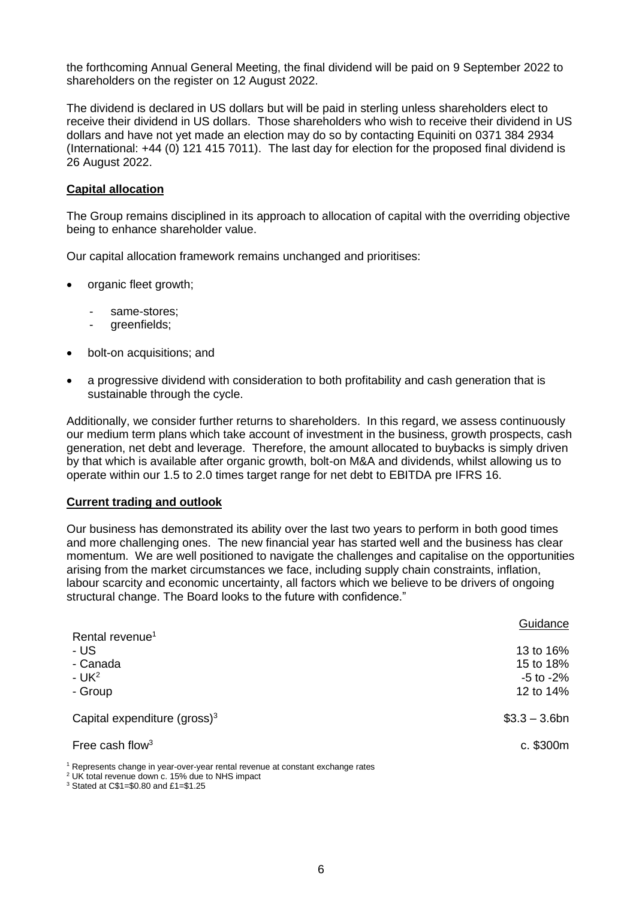the forthcoming Annual General Meeting, the final dividend will be paid on 9 September 2022 to shareholders on the register on 12 August 2022.

The dividend is declared in US dollars but will be paid in sterling unless shareholders elect to receive their dividend in US dollars. Those shareholders who wish to receive their dividend in US dollars and have not yet made an election may do so by contacting Equiniti on 0371 384 2934 (International: +44 (0) 121 415 7011). The last day for election for the proposed final dividend is 26 August 2022.

## **Capital allocation**

The Group remains disciplined in its approach to allocation of capital with the overriding objective being to enhance shareholder value.

Our capital allocation framework remains unchanged and prioritises:

- organic fleet growth;
	- same-stores:
	- greenfields;
- bolt-on acquisitions; and
- a progressive dividend with consideration to both profitability and cash generation that is sustainable through the cycle.

Additionally, we consider further returns to shareholders. In this regard, we assess continuously our medium term plans which take account of investment in the business, growth prospects, cash generation, net debt and leverage. Therefore, the amount allocated to buybacks is simply driven by that which is available after organic growth, bolt-on M&A and dividends, whilst allowing us to operate within our 1.5 to 2.0 times target range for net debt to EBITDA pre IFRS 16.

#### **Current trading and outlook**

Our business has demonstrated its ability over the last two years to perform in both good times and more challenging ones. The new financial year has started well and the business has clear momentum. We are well positioned to navigate the challenges and capitalise on the opportunities arising from the market circumstances we face, including supply chain constraints, inflation, labour scarcity and economic uncertainty, all factors which we believe to be drivers of ongoing structural change. The Board looks to the future with confidence."

|                                                                                                                                                   | Guidance                                              |
|---------------------------------------------------------------------------------------------------------------------------------------------------|-------------------------------------------------------|
| Rental revenue <sup>1</sup><br>- US<br>- Canada<br>$- UK2$<br>- Group                                                                             | 13 to 16%<br>15 to 18%<br>$-5$ to $-2\%$<br>12 to 14% |
| Capital expenditure (gross) $3$                                                                                                                   | $$3.3 - 3.6$ bn                                       |
| Free cash flow <sup>3</sup>                                                                                                                       | c. \$300m                                             |
| $^1$ Represents change in year-over-year rental revenue at constant exchange rates<br><sup>2</sup> UK total revenue down c. 15% due to NHS impact |                                                       |

<sup>3</sup> Stated at C\$1=\$0.80 and £1=\$1.25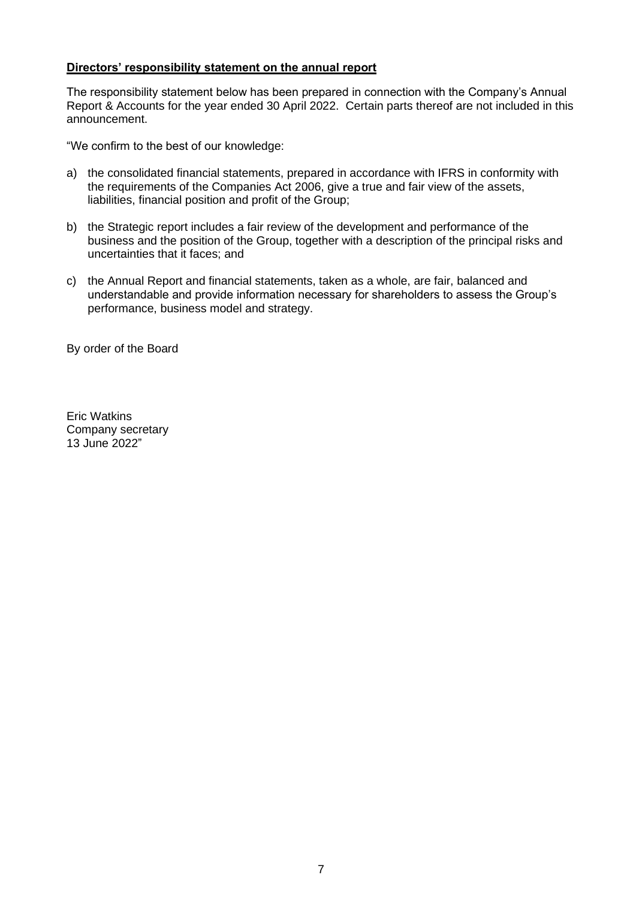## **Directors' responsibility statement on the annual report**

The responsibility statement below has been prepared in connection with the Company's Annual Report & Accounts for the year ended 30 April 2022. Certain parts thereof are not included in this announcement.

"We confirm to the best of our knowledge:

- a) the consolidated financial statements, prepared in accordance with IFRS in conformity with the requirements of the Companies Act 2006, give a true and fair view of the assets, liabilities, financial position and profit of the Group;
- b) the Strategic report includes a fair review of the development and performance of the business and the position of the Group, together with a description of the principal risks and uncertainties that it faces; and
- c) the Annual Report and financial statements, taken as a whole, are fair, balanced and understandable and provide information necessary for shareholders to assess the Group's performance, business model and strategy.

By order of the Board

Eric Watkins Company secretary 13 June 2022"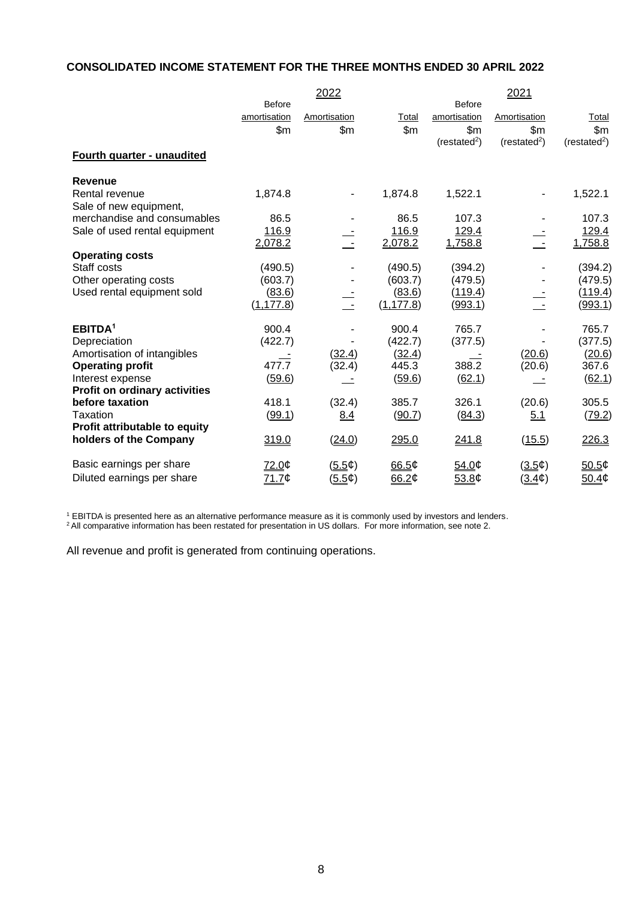## **CONSOLIDATED INCOME STATEMENT FOR THE THREE MONTHS ENDED 30 APRIL 2022**

|                               |                      | 2022         |                      |                             | 2021                   |                           |
|-------------------------------|----------------------|--------------|----------------------|-----------------------------|------------------------|---------------------------|
|                               | <b>Before</b>        |              |                      | <b>Before</b>               |                        |                           |
|                               | amortisation         | Amortisation | Total                | amortisation                | Amortisation           | <u>Total</u>              |
|                               | \$m                  | \$m\$        | \$m\$                | \$m\$                       | \$m\$                  | \$m\$                     |
|                               |                      |              |                      | (resated <sup>2</sup> )     | (rested <sup>2</sup> ) | (resated <sup>2</sup> )   |
| Fourth quarter - unaudited    |                      |              |                      |                             |                        |                           |
| Revenue                       |                      |              |                      |                             |                        |                           |
| Rental revenue                | 1,874.8              |              | 1,874.8              | 1,522.1                     |                        | 1,522.1                   |
| Sale of new equipment,        |                      |              |                      |                             |                        |                           |
| merchandise and consumables   | 86.5                 |              | 86.5                 | 107.3                       |                        | 107.3                     |
| Sale of used rental equipment | 116.9                |              | 116.9                | 129.4                       |                        | 129.4                     |
|                               | 2,078.2              |              | 2,078.2              | 1,758.8                     | $\pm$ $\pm$            | 1,758.8                   |
| <b>Operating costs</b>        |                      |              |                      |                             |                        |                           |
| Staff costs                   | (490.5)              |              | (490.5)              | (394.2)                     |                        | (394.2)                   |
| Other operating costs         | (603.7)              |              | (603.7)              | (479.5)                     |                        | (479.5)                   |
| Used rental equipment sold    | (83.6)<br>(1, 177.8) |              | (83.6)<br>(1, 177.8) | ( <u>119.4</u> )<br>(993.1) |                        | <u>(119.4)</u><br>(993.1) |
|                               |                      |              |                      |                             |                        |                           |
| EBITDA <sup>1</sup>           | 900.4                |              | 900.4                | 765.7                       |                        | 765.7                     |
| Depreciation                  | (422.7)              |              | (422.7)              | (377.5)                     |                        | (377.5)                   |
| Amortisation of intangibles   |                      | (32.4)       | (32.4)               |                             | (20.6)                 | (20.6)                    |
| <b>Operating profit</b>       | 477.7                | (32.4)       | 445.3                | 388.2                       | (20.6)                 | 367.6                     |
| Interest expense              | (59.6)               |              | (59.6)               | (62.1)                      |                        | (62.1)                    |
| Profit on ordinary activities |                      |              |                      |                             |                        |                           |
| before taxation               | 418.1                | (32.4)       | 385.7                | 326.1                       | (20.6)                 | 305.5                     |
| Taxation                      | (99.1)               | 8.4          | (90.7)               | (84.3)                      | 5.1                    | (79.2)                    |
| Profit attributable to equity |                      |              |                      |                             |                        |                           |
| holders of the Company        | 319.0                | (24.0)       | 295.0                | 241.8                       | (15.5)                 | 226.3                     |
| Basic earnings per share      | 72.0¢                | (5.5¢)       | 66.5 $¢$             | 54.0¢                       | (3.5¢)                 | 50.5¢                     |
| Diluted earnings per share    | 71.7¢                | (5.5¢)       | 66.2¢                | 53.8¢                       | $(3.4\phi)$            | 50.4¢                     |

<sup>1</sup> EBITDA is presented here as an alternative performance measure as it is commonly used by investors and lenders.

 $^2$  All comparative information has been restated for presentation in US dollars. For more information, see note 2.

All revenue and profit is generated from continuing operations.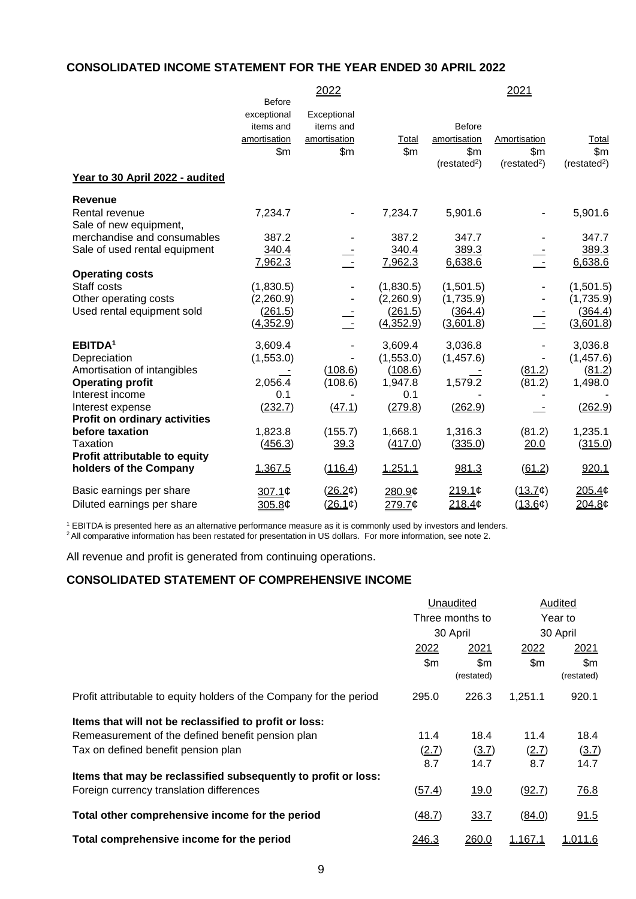# **CONSOLIDATED INCOME STATEMENT FOR THE YEAR ENDED 30 APRIL 2022**

|                                      |               | 2022         |           |                          | 2021                     |                         |
|--------------------------------------|---------------|--------------|-----------|--------------------------|--------------------------|-------------------------|
|                                      | <b>Before</b> |              |           |                          |                          |                         |
|                                      | exceptional   | Exceptional  |           |                          |                          |                         |
|                                      | items and     | items and    |           | <b>Before</b>            |                          |                         |
|                                      | amortisation  | amortisation | Total     | amortisation             | Amortisation             | Total                   |
|                                      | \$m\$         | \$m\$        | \$m\$     | \$m\$                    | \$m\$                    | \$m\$                   |
|                                      |               |              |           | (restated <sup>2</sup> ) | (restated <sup>2</sup> ) | (resated <sup>2</sup> ) |
| Year to 30 April 2022 - audited      |               |              |           |                          |                          |                         |
| <b>Revenue</b>                       |               |              |           |                          |                          |                         |
| Rental revenue                       | 7,234.7       |              | 7,234.7   | 5,901.6                  |                          | 5,901.6                 |
| Sale of new equipment,               |               |              |           |                          |                          |                         |
| merchandise and consumables          | 387.2         |              | 387.2     | 347.7                    |                          | 347.7                   |
| Sale of used rental equipment        | 340.4         |              | 340.4     | 389.3                    |                          | 389.3                   |
|                                      | 7,962.3       |              | 7,962.3   | 6,638.6                  |                          | 6,638.6                 |
| <b>Operating costs</b>               |               |              |           |                          |                          |                         |
| Staff costs                          | (1,830.5)     |              | (1,830.5) | (1,501.5)                |                          | (1,501.5)               |
| Other operating costs                | (2,260.9)     |              | (2,260.9) | (1,735.9)                |                          | (1,735.9)               |
| Used rental equipment sold           | (261.5)       |              | (261.5)   | (364.4)                  |                          | (364.4)                 |
|                                      | (4,352.9)     |              | (4,352.9) | (3,601.8)                |                          | (3,601.8)               |
| EBITDA <sup>1</sup>                  | 3,609.4       |              | 3,609.4   | 3,036.8                  |                          | 3,036.8                 |
| Depreciation                         | (1,553.0)     |              | (1,553.0) | (1,457.6)                |                          | (1,457.6)               |
| Amortisation of intangibles          |               | (108.6)      | (108.6)   |                          | (81.2)                   | (81.2)                  |
| <b>Operating profit</b>              | 2,056.4       | (108.6)      | 1,947.8   | 1,579.2                  | (81.2)                   | 1,498.0                 |
| Interest income                      | 0.1           |              | 0.1       |                          |                          |                         |
| Interest expense                     | (232.7)       | (47.1)       | (279.8)   | (262.9)                  |                          | (262.9)                 |
| <b>Profit on ordinary activities</b> |               |              |           |                          |                          |                         |
| before taxation                      | 1,823.8       | (155.7)      | 1,668.1   | 1,316.3                  | (81.2)                   | 1,235.1                 |
| Taxation                             | (456.3)       | 39.3         | (417.0)   | (335.0)                  | 20.0                     | (315.0)                 |
| Profit attributable to equity        |               |              |           |                          |                          |                         |
| holders of the Company               | 1,367.5       | (116.4)      | 1,251.1   | 981.3                    | (61.2)                   | 920.1                   |
| Basic earnings per share             | 307.1¢        | (26.2¢)      | 280.9¢    | 219.1c                   | (13.7)                   | 205.4¢                  |
| Diluted earnings per share           | 305.8¢        | (26.1)       | 279.7¢    | 218.4¢                   | (13.6¢)                  | 204.8¢                  |

<sup>1</sup> EBITDA is presented here as an alternative performance measure as it is commonly used by investors and lenders.  $^2$  All comparative information has been restated for presentation in US dollars. For more information, see note 2.

All revenue and profit is generated from continuing operations.

## **CONSOLIDATED STATEMENT OF COMPREHENSIVE INCOME**

|                                                                     | Unaudited |                   | Audited |                   |
|---------------------------------------------------------------------|-----------|-------------------|---------|-------------------|
|                                                                     |           | Three months to   |         | Year to           |
|                                                                     |           | 30 April          |         | 30 April          |
|                                                                     | 2022      | 2021              | 2022    | 2021              |
|                                                                     | \$m\$     | \$m<br>(restated) | \$m\$   | \$m<br>(restated) |
| Profit attributable to equity holders of the Company for the period | 295.0     | 226.3             | 1,251.1 | 920.1             |
| Items that will not be reclassified to profit or loss:              |           |                   |         |                   |
| Remeasurement of the defined benefit pension plan                   | 11.4      | 18.4              | 11.4    | 18.4              |
| Tax on defined benefit pension plan                                 | (2.7)     | (3.7)             | (2.7)   | (3.7)             |
|                                                                     | 8.7       | 14.7              | 8.7     | 14.7              |
| Items that may be reclassified subsequently to profit or loss:      |           |                   |         |                   |
| Foreign currency translation differences                            | (57.4)    | 19.0              | (92.7)  | 76.8              |
| Total other comprehensive income for the period                     | (48.7)    | 33.7              | (84.0)  | 91.5              |
| Total comprehensive income for the period                           | 246.3     | 260.0             | 1,167.1 | 1,011.6           |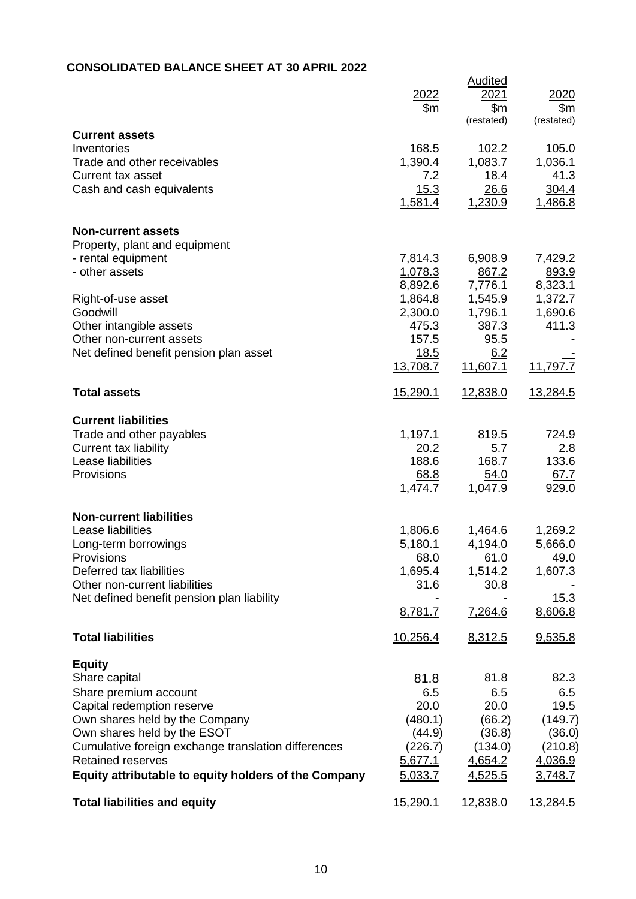# **CONSOLIDATED BALANCE SHEET AT 30 APRIL 2022**

|                                                           | 2022<br>\$m        | <b>Audited</b><br>2021<br>\$m<br>(restated) | 2020<br>\$m<br>(restated) |
|-----------------------------------------------------------|--------------------|---------------------------------------------|---------------------------|
| <b>Current assets</b><br>Inventories                      | 168.5              | 102.2                                       | 105.0                     |
| Trade and other receivables                               | 1,390.4            | 1,083.7                                     | 1,036.1                   |
| <b>Current tax asset</b>                                  | 7.2                | 18.4                                        | 41.3                      |
| Cash and cash equivalents                                 | 15.3<br>1,581.4    | 26.6<br>1,230.9                             | 304.4<br>1,486.8          |
| <b>Non-current assets</b>                                 |                    |                                             |                           |
| Property, plant and equipment                             |                    |                                             |                           |
| - rental equipment<br>- other assets                      | 7,814.3            | 6,908.9                                     | 7,429.2                   |
|                                                           | 1,078.3<br>8,892.6 | 867.2<br>7,776.1                            | 893.9<br>8,323.1          |
| Right-of-use asset                                        | 1,864.8            | 1,545.9                                     | 1,372.7                   |
| Goodwill                                                  | 2,300.0            | 1,796.1                                     | 1,690.6                   |
| Other intangible assets                                   | 475.3              | 387.3                                       | 411.3                     |
| Other non-current assets                                  | 157.5              | 95.5                                        |                           |
| Net defined benefit pension plan asset                    | 18.5<br>13,708.7   | 6.2<br>11,607.1                             | 11,797.7                  |
| <b>Total assets</b>                                       | <u>15,290.1</u>    | 12,838.0                                    | 13,284.5                  |
| <b>Current liabilities</b>                                |                    |                                             |                           |
| Trade and other payables                                  | 1,197.1            | 819.5                                       | 724.9                     |
| Current tax liability                                     | 20.2               | 5.7                                         | 2.8                       |
| Lease liabilities<br>Provisions                           | 188.6              | 168.7                                       | 133.6<br>67.7             |
|                                                           | 68.8<br>1,474.7    | 54.0<br>1,047.9                             | 929.0                     |
| <b>Non-current liabilities</b>                            |                    |                                             |                           |
| Lease liabilities                                         | 1,806.6            | 1,464.6                                     | 1,269.2                   |
| Long-term borrowings                                      | 5,180.1            | 4,194.0                                     | 5,666.0                   |
| Provisions                                                | 68.0               | 61.0                                        | 49.0                      |
| Deferred tax liabilities<br>Other non-current liabilities | 1,695.4<br>31.6    | 1,514.2<br>30.8                             | 1,607.3                   |
| Net defined benefit pension plan liability                |                    |                                             | 15.3                      |
|                                                           | 8,781.7            | 7,264.6                                     | 8,606.8                   |
| <b>Total liabilities</b>                                  | 10,256.4           | 8,312.5                                     | 9,535.8                   |
| <b>Equity</b>                                             |                    |                                             |                           |
| Share capital                                             | 81.8               | 81.8                                        | 82.3                      |
| Share premium account<br>Capital redemption reserve       | 6.5<br>20.0        | 6.5<br>20.0                                 | 6.5<br>19.5               |
| Own shares held by the Company                            | (480.1)            | (66.2)                                      | (149.7)                   |
| Own shares held by the ESOT                               | (44.9)             | (36.8)                                      | (36.0)                    |
| Cumulative foreign exchange translation differences       | (226.7)            | (134.0)                                     | (210.8)                   |
| <b>Retained reserves</b>                                  | 5,677.1            | 4,654.2                                     | 4,036.9                   |
| Equity attributable to equity holders of the Company      | 5,033.7            | 4,525.5                                     | 3,748.7                   |
| <b>Total liabilities and equity</b>                       | 15,290.1           | 12,838.0                                    | 13,284.5                  |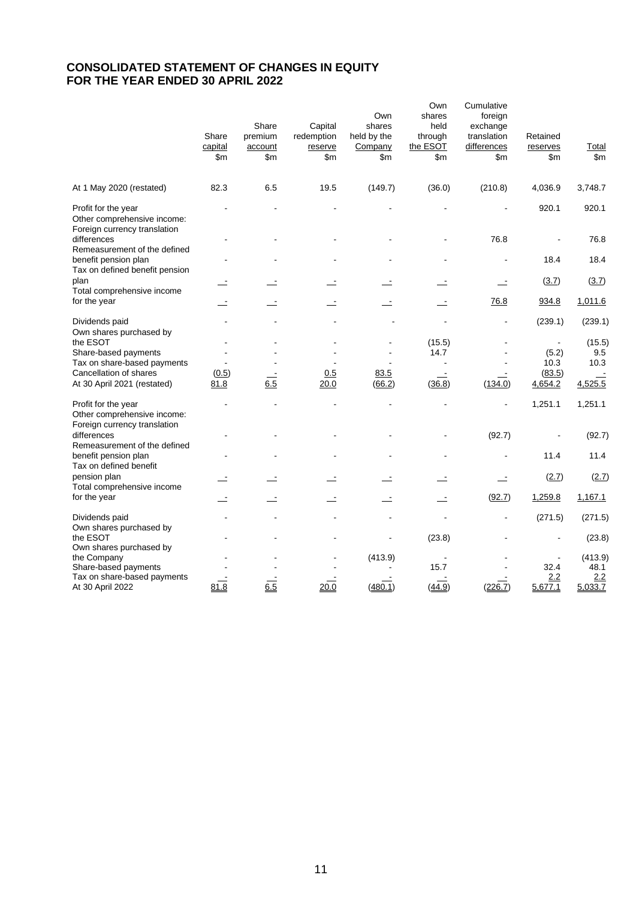# **CONSOLIDATED STATEMENT OF CHANGES IN EQUITY FOR THE YEAR ENDED 30 APRIL 2022**

|                                                                                                                                                     | Share<br>capital<br>\$m  | Share<br>premium<br>account<br>\$m | Capital<br>redemption<br>reserve<br>\$m\$ | Own<br>shares<br>held by the<br>Company<br>\$m | Own<br>shares<br>held<br>through<br>the ESOT<br>\$m | Cumulative<br>foreign<br>exchange<br>translation<br>differences<br>$\mathsf{Sm}$ | Retained<br>reserves<br>\$m        | Total<br>\$m\$                    |
|-----------------------------------------------------------------------------------------------------------------------------------------------------|--------------------------|------------------------------------|-------------------------------------------|------------------------------------------------|-----------------------------------------------------|----------------------------------------------------------------------------------|------------------------------------|-----------------------------------|
| At 1 May 2020 (restated)                                                                                                                            | 82.3                     | 6.5                                | 19.5                                      | (149.7)                                        | (36.0)                                              | (210.8)                                                                          | 4,036.9                            | 3,748.7                           |
| Profit for the year<br>Other comprehensive income:<br>Foreign currency translation                                                                  |                          |                                    |                                           |                                                |                                                     |                                                                                  | 920.1                              | 920.1                             |
| differences                                                                                                                                         |                          |                                    |                                           |                                                |                                                     | 76.8                                                                             |                                    | 76.8                              |
| Remeasurement of the defined<br>benefit pension plan<br>Tax on defined benefit pension                                                              | $\overline{\phantom{a}}$ |                                    |                                           |                                                |                                                     |                                                                                  | 18.4                               | 18.4                              |
| plan                                                                                                                                                |                          |                                    |                                           |                                                |                                                     | Ŀ                                                                                | (3.7)                              | (3.7)                             |
| Total comprehensive income<br>for the year                                                                                                          |                          |                                    |                                           |                                                |                                                     | 76.8                                                                             | 934.8                              | 1,011.6                           |
| Dividends paid                                                                                                                                      |                          |                                    |                                           |                                                |                                                     |                                                                                  | (239.1)                            | (239.1)                           |
| Own shares purchased by<br>the ESOT<br>Share-based payments<br>Tax on share-based payments<br>Cancellation of shares<br>At 30 April 2021 (restated) | (0.5)<br>81.8            | 6.5                                | 0.5<br>20.0                               | 83.5<br>(66.2)                                 | (15.5)<br>14.7<br>(36.8)                            | (134.0)                                                                          | (5.2)<br>10.3<br>(83.5)<br>4,654.2 | (15.5)<br>9.5<br>10.3<br>4,525.5  |
| Profit for the year<br>Other comprehensive income:                                                                                                  |                          |                                    |                                           |                                                |                                                     |                                                                                  | 1,251.1                            | 1,251.1                           |
| Foreign currency translation<br>differences<br>Remeasurement of the defined                                                                         |                          |                                    |                                           |                                                |                                                     | (92.7)                                                                           |                                    | (92.7)                            |
| benefit pension plan<br>Tax on defined benefit                                                                                                      |                          |                                    |                                           |                                                |                                                     |                                                                                  | 11.4                               | 11.4                              |
| pension plan<br>Total comprehensive income                                                                                                          |                          |                                    |                                           |                                                |                                                     | $\equiv$                                                                         | (2.7)                              | (2.7)                             |
| for the year                                                                                                                                        | $\mathbf{r}$             | $\overline{\phantom{a}}$           | $\mathbf{r}$                              | $\mathbf{r}$                                   | $\equiv$                                            | (92.7)                                                                           | 1,259.8                            | 1,167.1                           |
| Dividends paid<br>Own shares purchased by                                                                                                           |                          |                                    |                                           |                                                |                                                     |                                                                                  | (271.5)                            | (271.5)                           |
| the ESOT                                                                                                                                            |                          |                                    |                                           |                                                | (23.8)                                              |                                                                                  |                                    | (23.8)                            |
| Own shares purchased by<br>the Company<br>Share-based payments<br>Tax on share-based payments<br>At 30 April 2022                                   | 81.8                     | 6.5                                | 20.0                                      | (413.9)<br>(480.1)                             | 15.7<br>(44.9)                                      | (226.7)                                                                          | 32.4<br>2.2<br>5,677.1             | (413.9)<br>48.1<br>2.2<br>5,033.7 |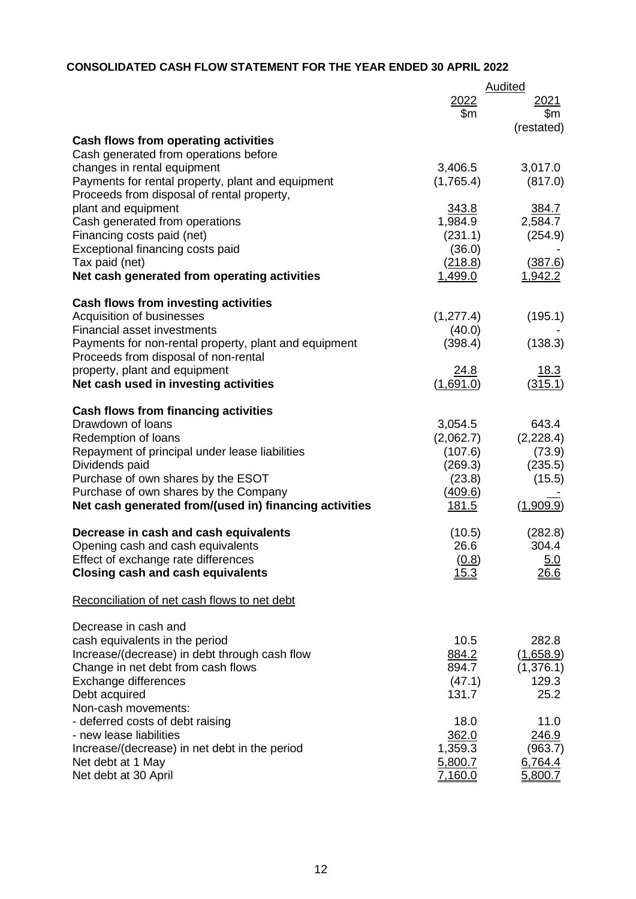# **CONSOLIDATED CASH FLOW STATEMENT FOR THE YEAR ENDED 30 APRIL 2022**

|                                                                                               |                      | <b>Audited</b>            |
|-----------------------------------------------------------------------------------------------|----------------------|---------------------------|
|                                                                                               | 2022<br>\$m          | 2021<br>\$m<br>(restated) |
| Cash flows from operating activities                                                          |                      |                           |
| Cash generated from operations before                                                         |                      |                           |
| changes in rental equipment                                                                   | 3,406.5              | 3,017.0                   |
| Payments for rental property, plant and equipment                                             | (1,765.4)            | (817.0)                   |
| Proceeds from disposal of rental property,                                                    |                      |                           |
| plant and equipment                                                                           | 343.8<br>1,984.9     | 384.7<br>2,584.7          |
| Cash generated from operations<br>Financing costs paid (net)                                  | (231.1)              | (254.9)                   |
| Exceptional financing costs paid                                                              | (36.0)               |                           |
| Tax paid (net)                                                                                | (218.8)              | (387.6)                   |
| Net cash generated from operating activities                                                  | 1,499.0              | 1,942.2                   |
| <b>Cash flows from investing activities</b>                                                   |                      |                           |
| Acquisition of businesses                                                                     | (1, 277.4)           | (195.1)                   |
| <b>Financial asset investments</b>                                                            | (40.0)               |                           |
| Payments for non-rental property, plant and equipment<br>Proceeds from disposal of non-rental | (398.4)              | (138.3)                   |
| property, plant and equipment                                                                 | 24.8                 | 18.3                      |
| Net cash used in investing activities                                                         | (1,691.0)            | (315.1)                   |
|                                                                                               |                      |                           |
| <b>Cash flows from financing activities</b><br>Drawdown of loans                              |                      | 643.4                     |
| Redemption of loans                                                                           | 3,054.5<br>(2,062.7) | (2,228.4)                 |
| Repayment of principal under lease liabilities                                                | (107.6)              | (73.9)                    |
| Dividends paid                                                                                | (269.3)              | (235.5)                   |
| Purchase of own shares by the ESOT                                                            | (23.8)               | (15.5)                    |
| Purchase of own shares by the Company                                                         | (409.6)              |                           |
| Net cash generated from/(used in) financing activities                                        | <u>181.5</u>         | (1,909.9)                 |
| Decrease in cash and cash equivalents                                                         | (10.5)               | (282.8)                   |
| Opening cash and cash equivalents                                                             | 26.6                 | 304.4                     |
| Effect of exchange rate differences                                                           | (0.8)                | 5.0                       |
| <b>Closing cash and cash equivalents</b>                                                      | 15.3                 | 26.6                      |
| Reconciliation of net cash flows to net debt                                                  |                      |                           |
| Decrease in cash and                                                                          |                      |                           |
| cash equivalents in the period                                                                | 10.5                 | 282.8                     |
| Increase/(decrease) in debt through cash flow                                                 | 884.2                | (1,658.9)                 |
| Change in net debt from cash flows                                                            | 894.7                | (1,376.1)                 |
| Exchange differences<br>Debt acquired                                                         | (47.1)<br>131.7      | 129.3<br>25.2             |
| Non-cash movements:                                                                           |                      |                           |
| - deferred costs of debt raising                                                              | 18.0                 | 11.0                      |
| - new lease liabilities                                                                       | 362.0                | 246.9                     |
| Increase/(decrease) in net debt in the period                                                 | 1,359.3              | (963.7)                   |
| Net debt at 1 May                                                                             | 5,800.7              | 6,764.4                   |
| Net debt at 30 April                                                                          | 7,160.0              | 5,800.7                   |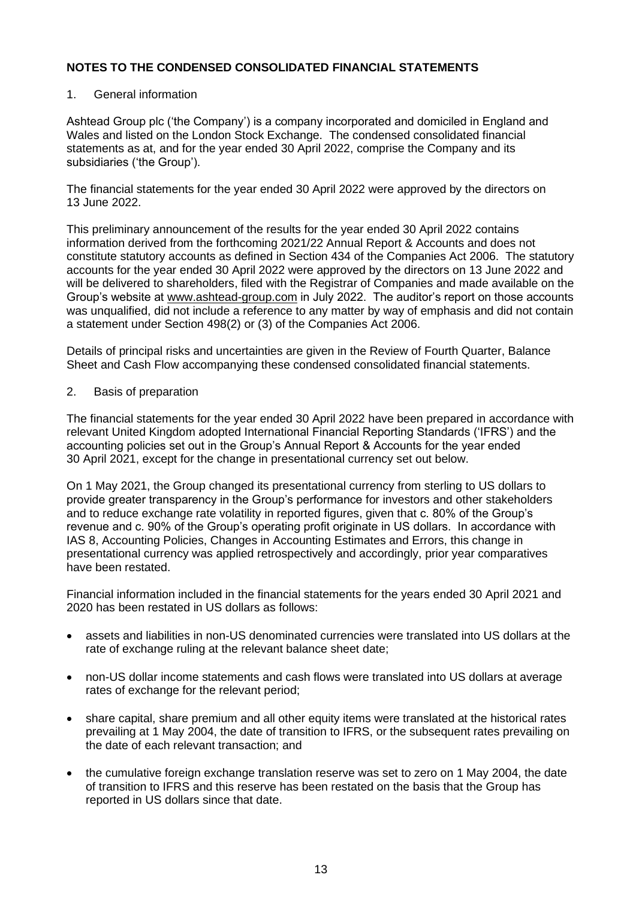## 1. General information

Ashtead Group plc ('the Company') is a company incorporated and domiciled in England and Wales and listed on the London Stock Exchange. The condensed consolidated financial statements as at, and for the year ended 30 April 2022, comprise the Company and its subsidiaries ('the Group').

The financial statements for the year ended 30 April 2022 were approved by the directors on 13 June 2022.

This preliminary announcement of the results for the year ended 30 April 2022 contains information derived from the forthcoming 2021/22 Annual Report & Accounts and does not constitute statutory accounts as defined in Section 434 of the Companies Act 2006. The statutory accounts for the year ended 30 April 2022 were approved by the directors on 13 June 2022 and will be delivered to shareholders, filed with the Registrar of Companies and made available on the Group's website at [www.ashtead-group.com](http://www.ashtead-group.com/) in July 2022. The auditor's report on those accounts was unqualified, did not include a reference to any matter by way of emphasis and did not contain a statement under Section 498(2) or (3) of the Companies Act 2006.

Details of principal risks and uncertainties are given in the Review of Fourth Quarter, Balance Sheet and Cash Flow accompanying these condensed consolidated financial statements.

## 2. Basis of preparation

The financial statements for the year ended 30 April 2022 have been prepared in accordance with relevant United Kingdom adopted International Financial Reporting Standards ('IFRS') and the accounting policies set out in the Group's Annual Report & Accounts for the year ended 30 April 2021, except for the change in presentational currency set out below.

On 1 May 2021, the Group changed its presentational currency from sterling to US dollars to provide greater transparency in the Group's performance for investors and other stakeholders and to reduce exchange rate volatility in reported figures, given that c. 80% of the Group's revenue and c. 90% of the Group's operating profit originate in US dollars. In accordance with IAS 8, Accounting Policies, Changes in Accounting Estimates and Errors, this change in presentational currency was applied retrospectively and accordingly, prior year comparatives have been restated.

Financial information included in the financial statements for the years ended 30 April 2021 and 2020 has been restated in US dollars as follows:

- assets and liabilities in non-US denominated currencies were translated into US dollars at the rate of exchange ruling at the relevant balance sheet date;
- non-US dollar income statements and cash flows were translated into US dollars at average rates of exchange for the relevant period;
- share capital, share premium and all other equity items were translated at the historical rates prevailing at 1 May 2004, the date of transition to IFRS, or the subsequent rates prevailing on the date of each relevant transaction; and
- the cumulative foreign exchange translation reserve was set to zero on 1 May 2004, the date of transition to IFRS and this reserve has been restated on the basis that the Group has reported in US dollars since that date.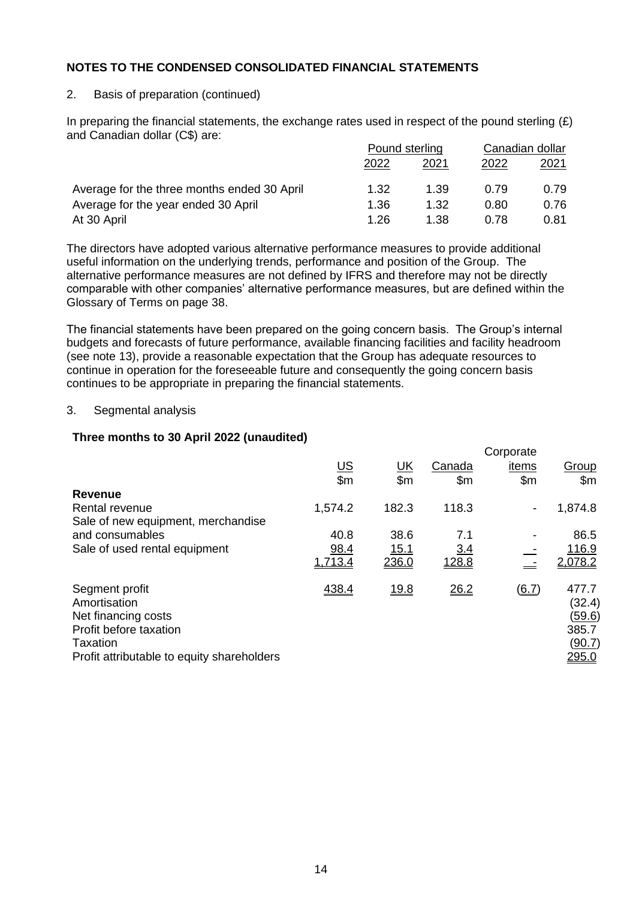## 2. Basis of preparation (continued)

In preparing the financial statements, the exchange rates used in respect of the pound sterling  $(E)$ and Canadian dollar (C\$) are:

|                                             | Pound sterling |      | Canadian dollar |      |
|---------------------------------------------|----------------|------|-----------------|------|
|                                             | 2022           | 2021 | 2022            | 2021 |
| Average for the three months ended 30 April | 1.32           | 1.39 | 0.79            | 0.79 |
| Average for the year ended 30 April         | 1.36           | 1.32 | 0.80            | 0.76 |
| At 30 April                                 | 1.26           | 1.38 | በ 78            | 0.81 |

The directors have adopted various alternative performance measures to provide additional useful information on the underlying trends, performance and position of the Group. The alternative performance measures are not defined by IFRS and therefore may not be directly comparable with other companies' alternative performance measures, but are defined within the Glossary of Terms on page 38.

The financial statements have been prepared on the going concern basis. The Group's internal budgets and forecasts of future performance, available financing facilities and facility headroom (see note 13), provide a reasonable expectation that the Group has adequate resources to continue in operation for the foreseeable future and consequently the going concern basis continues to be appropriate in preparing the financial statements.

## 3. Segmental analysis

## **Three months to 30 April 2022 (unaudited)**

|         |                       |                | Corporate                |                                                                     |
|---------|-----------------------|----------------|--------------------------|---------------------------------------------------------------------|
|         |                       | Canada         | <u>items</u>             | Group                                                               |
|         | $\mathsf{Sm}$         | $\mathsf{S}$ m | \$m                      | $\mathsf{Sm}$                                                       |
|         |                       |                |                          |                                                                     |
| 1,574.2 | 182.3                 | 118.3          | $\overline{\phantom{a}}$ | 1,874.8                                                             |
|         |                       |                |                          |                                                                     |
| 40.8    | 38.6                  | 7.1            |                          | 86.5                                                                |
| 98.4    | 15.1                  | 3.4            |                          | 116.9                                                               |
| 1,713.4 | 236.0                 | <u>128.8</u>   |                          | 2,078.2                                                             |
| 438.4   | <u>19.8</u>           | 26.2           | $\underline{(6.7)}$      | 477.7<br>(32.4)<br><u>(59.6)</u><br>385.7<br><u>(90.7)</u><br>295.0 |
|         | $rac{\text{US}}{\$m}$ | <u>UК</u>      |                          |                                                                     |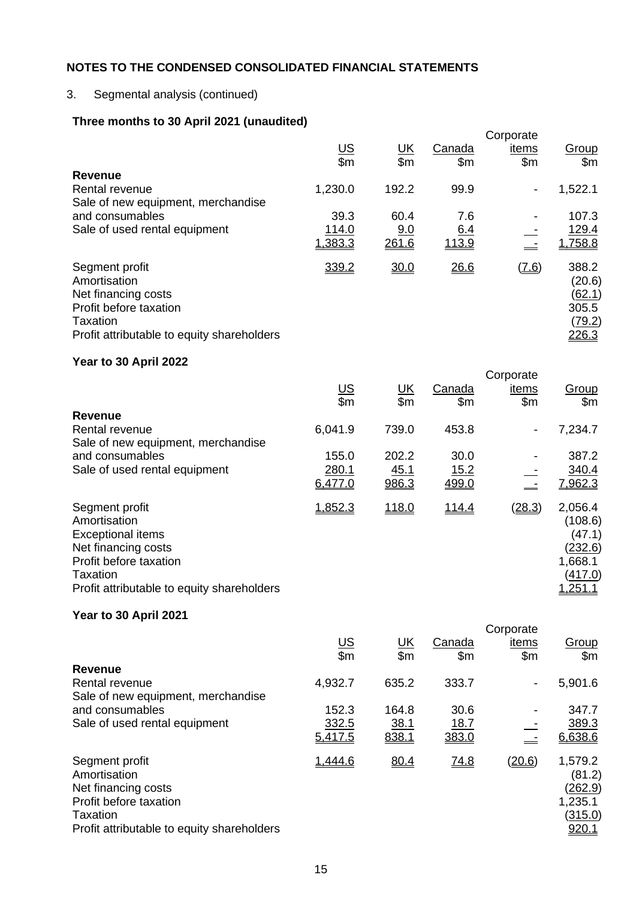# 3. Segmental analysis (continued)

# **Three months to 30 April 2021 (unaudited)**

|                                                                                                                                           |                       |           |                | Corporate                |                                                                     |
|-------------------------------------------------------------------------------------------------------------------------------------------|-----------------------|-----------|----------------|--------------------------|---------------------------------------------------------------------|
|                                                                                                                                           | $rac{\text{US}}{\$m}$ | <u>UК</u> | Canada         | items                    | Group                                                               |
|                                                                                                                                           |                       | \$m       | $\mathsf{S}$ m | \$m                      | \$m\$                                                               |
| Revenue                                                                                                                                   |                       |           |                |                          |                                                                     |
| Rental revenue                                                                                                                            | 1,230.0               | 192.2     | 99.9           | $\overline{\phantom{a}}$ | 1,522.1                                                             |
| Sale of new equipment, merchandise                                                                                                        |                       |           |                |                          |                                                                     |
| and consumables                                                                                                                           | 39.3                  | 60.4      | 7.6            |                          | 107.3                                                               |
| Sale of used rental equipment                                                                                                             | 114.0                 | 9.0       | <u>6.4</u>     |                          | 129.4                                                               |
|                                                                                                                                           | 1,383.3               | 261.6     | 113.9          |                          | 1,758.8                                                             |
| Segment profit<br>Amortisation<br>Net financing costs<br>Profit before taxation<br>Taxation<br>Profit attributable to equity shareholders | 339.2                 | 30.0      | 26.6           | $(\underline{7.6})$      | 388.2<br>(20.6)<br><u>(62.1)</u><br>305.5<br><u>(79.2)</u><br>226.3 |

# **Year to 30 April 2022**

|                                            |                       |                               |               | Corporate      |                       |
|--------------------------------------------|-----------------------|-------------------------------|---------------|----------------|-----------------------|
|                                            | $rac{\text{US}}{\$m}$ | <u>UK</u><br>$\overline{\$m}$ | Canada<br>\$m | items<br>\$m\$ | <u>Group</u><br>\$m\$ |
| Revenue                                    |                       |                               |               |                |                       |
| Rental revenue                             | 6,041.9               | 739.0                         | 453.8         | $\blacksquare$ | 7,234.7               |
| Sale of new equipment, merchandise         |                       |                               |               |                |                       |
| and consumables                            | 155.0                 | 202.2                         | 30.0          |                | 387.2                 |
| Sale of used rental equipment              | 280.1                 | <u>45.1</u>                   | <u> 15.2</u>  |                | 340.4                 |
|                                            | 6,477.0               | 986.3                         | 499.0         |                | 7,962.3               |
| Segment profit                             | 1,852.3               | 118.0                         | 114.4         | <u>(28.3)</u>  | 2,056.4               |
| Amortisation                               |                       |                               |               |                | (108.6)               |
| <b>Exceptional items</b>                   |                       |                               |               |                | (47.1)                |
| Net financing costs                        |                       |                               |               |                | <u>(232.6)</u>        |
| Profit before taxation                     |                       |                               |               |                | 1,668.1               |
| Taxation                                   |                       |                               |               |                | (417.0)               |
| Profit attributable to equity shareholders |                       |                               |               |                | <u>1,251.1</u>        |

# **Year to 30 April 2021**

| $\frac{1}{2}$ . The set of $\frac{1}{2}$ is the set of $\frac{1}{2}$                                                                      |                       |                  |                         | Corporate                |                                                                    |
|-------------------------------------------------------------------------------------------------------------------------------------------|-----------------------|------------------|-------------------------|--------------------------|--------------------------------------------------------------------|
|                                                                                                                                           | $rac{\text{US}}{\$m}$ | <u>UК</u><br>\$m | Canada<br>$\mathsf{Sm}$ | items<br>\$m             | Group<br>\$m\$                                                     |
| <b>Revenue</b>                                                                                                                            |                       |                  |                         |                          |                                                                    |
| Rental revenue                                                                                                                            | 4,932.7               | 635.2            | 333.7                   | $\overline{\phantom{a}}$ | 5,901.6                                                            |
| Sale of new equipment, merchandise                                                                                                        |                       |                  |                         |                          |                                                                    |
| and consumables                                                                                                                           | 152.3                 | 164.8            | 30.6                    |                          | 347.7                                                              |
| Sale of used rental equipment                                                                                                             | 332.5                 | 38.1             | <u>18.7</u>             |                          | 389.3                                                              |
|                                                                                                                                           | 5,417.5               | 838.1            | 383.0                   |                          | 6.638.6                                                            |
| Segment profit<br>Amortisation<br>Net financing costs<br>Profit before taxation<br>Taxation<br>Profit attributable to equity shareholders | 1,444.6               | 80.4             | <u>74.8</u>             | <u>(20.6)</u>            | 1,579.2<br>(81.2)<br><u>(262.9)</u><br>1,235.1<br>(315.0)<br>920.1 |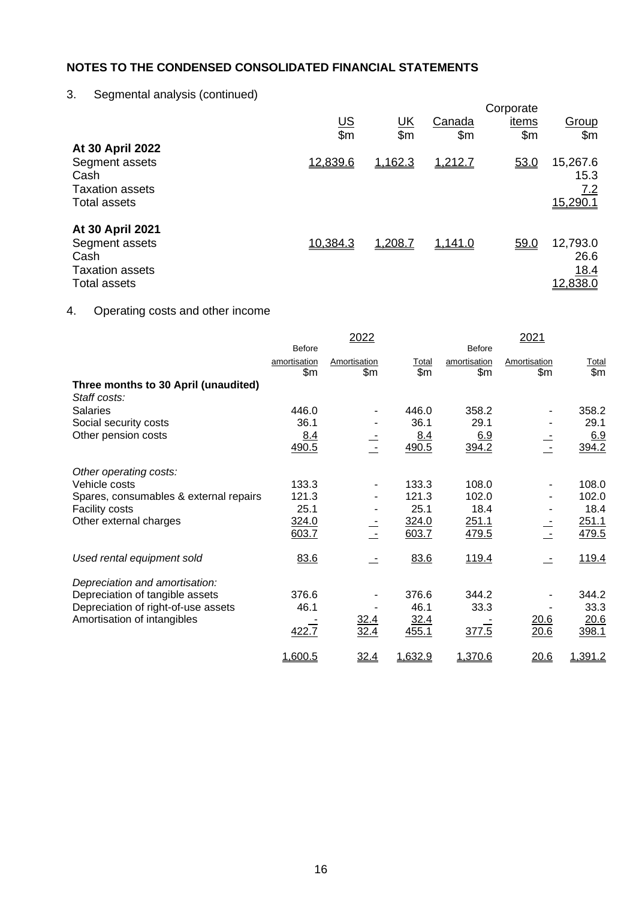# 3. Segmental analysis (continued)

|                                                                                             | <u>US</u><br>\$m | <u>UК</u><br>\$m\$ | Canada<br>\$m | Corporate<br><u>items</u><br>\$m | Group<br>\$m\$                              |
|---------------------------------------------------------------------------------------------|------------------|--------------------|---------------|----------------------------------|---------------------------------------------|
| At 30 April 2022<br>Segment assets<br>Cash<br><b>Taxation assets</b><br><b>Total assets</b> | 12,839.6         | 1,162.3            | 1,212.7       | 53.0                             | 15,267.6<br>15.3<br><u>7.2</u><br>15,290.1  |
| At 30 April 2021<br>Segment assets<br>Cash<br><b>Taxation assets</b><br><b>Total assets</b> | 10,384.3         | 1,208.7            | 1,141.0       | 59.0                             | 12,793.0<br>26.6<br><u>18.4</u><br>12,838.0 |

# 4. Operating costs and other income

|                                        |               | 2022                     |         |               | 2021         |              |
|----------------------------------------|---------------|--------------------------|---------|---------------|--------------|--------------|
|                                        | <b>Before</b> |                          |         | <b>Before</b> |              |              |
|                                        | amortisation  | Amortisation             | Total   | amortisation  | Amortisation | <b>Total</b> |
|                                        | \$m\$         | \$m\$                    | \$m\$   | \$m\$         | \$m          | \$m\$        |
| Three months to 30 April (unaudited)   |               |                          |         |               |              |              |
| Staff costs:                           |               |                          |         |               |              |              |
| <b>Salaries</b>                        | 446.0         | $\overline{\phantom{a}}$ | 446.0   | 358.2         |              | 358.2        |
| Social security costs                  | 36.1          |                          | 36.1    | 29.1          |              | 29.1         |
| Other pension costs                    | 8.4           |                          | 8.4     | 6.9           |              | 6.9          |
|                                        | 490.5         |                          | 490.5   | 394.2         |              | 394.2        |
| Other operating costs:                 |               |                          |         |               |              |              |
| Vehicle costs                          | 133.3         | ٠                        | 133.3   | 108.0         |              | 108.0        |
| Spares, consumables & external repairs | 121.3         |                          | 121.3   | 102.0         |              | 102.0        |
| Facility costs                         | 25.1          |                          | 25.1    | 18.4          |              | 18.4         |
| Other external charges                 | 324.0         |                          | 324.0   | 251.1         |              | 251.1        |
|                                        | 603.7         |                          | 603.7   | 479.5         |              | 479.5        |
|                                        |               |                          |         |               |              |              |
| Used rental equipment sold             | 83.6          |                          | 83.6    | 119.4         |              | 119.4        |
| Depreciation and amortisation:         |               |                          |         |               |              |              |
| Depreciation of tangible assets        | 376.6         |                          | 376.6   | 344.2         |              | 344.2        |
| Depreciation of right-of-use assets    | 46.1          |                          | 46.1    | 33.3          |              | 33.3         |
| Amortisation of intangibles            |               | 32.4                     | 32.4    |               | 20.6         | 20.6         |
|                                        | 422.7         | 32.4                     | 455.1   | 377.5         | 20.6         | 398.1        |
|                                        |               |                          |         |               |              |              |
|                                        | 1,600.5       | 32.4                     | 1,632.9 | 1,370.6       | 20.6         | 1,391.2      |
|                                        |               |                          |         |               |              |              |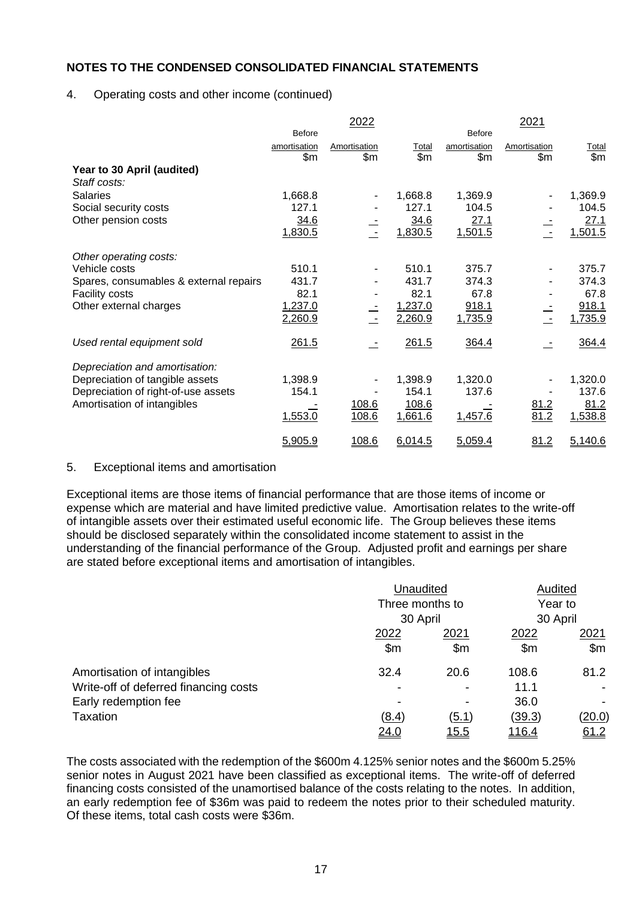## 4. Operating costs and other income (continued)

|              | 2022                                                             |              |                                                          | 2021                                                           |                     |
|--------------|------------------------------------------------------------------|--------------|----------------------------------------------------------|----------------------------------------------------------------|---------------------|
|              |                                                                  |              |                                                          |                                                                |                     |
| amortisation | Amortisation                                                     | Total        | amortisation                                             | Amortisation                                                   | Total               |
|              |                                                                  |              |                                                          |                                                                | \$m\$               |
|              |                                                                  |              |                                                          |                                                                |                     |
|              |                                                                  |              |                                                          |                                                                |                     |
| 1,668.8      | $\overline{\phantom{a}}$                                         | 1,668.8      | 1,369.9                                                  |                                                                | 1,369.9             |
| 127.1        |                                                                  | 127.1        | 104.5                                                    |                                                                | 104.5               |
| 34.6         |                                                                  | 34.6         | 27.1                                                     |                                                                | 27.1                |
| 1,830.5      | $\sim$                                                           | 1,830.5      | 1,501.5                                                  |                                                                | 1,501.5             |
|              |                                                                  |              |                                                          |                                                                |                     |
| 510.1        | $\overline{\phantom{a}}$                                         | 510.1        | 375.7                                                    |                                                                | 375.7               |
| 431.7        |                                                                  | 431.7        | 374.3                                                    |                                                                | 374.3               |
| 82.1         |                                                                  | 82.1         | 67.8                                                     |                                                                | 67.8                |
|              |                                                                  |              |                                                          |                                                                | 918.1               |
| 2,260.9      | $\sim$                                                           | 2,260.9      | 1,735.9                                                  | $\sim$                                                         | 1,735.9             |
|              |                                                                  |              |                                                          |                                                                | 364.4               |
|              |                                                                  |              |                                                          |                                                                |                     |
|              |                                                                  |              |                                                          |                                                                |                     |
|              |                                                                  |              |                                                          |                                                                | 1,320.0             |
| 154.1        |                                                                  | 154.1        | 137.6                                                    |                                                                | 137.6               |
|              |                                                                  |              |                                                          |                                                                | 81.2                |
| 1,553.0      | 108.6                                                            | 1,661.6      | 1,457.6                                                  | 81.2                                                           | 1,538.8             |
|              | 108.6                                                            |              |                                                          |                                                                | 5,140.6             |
|              | <b>Before</b><br>\$m\$<br>1,237.0<br>261.5<br>1,398.9<br>5,905.9 | \$m<br>108.6 | \$m\$<br>1,237.0<br>261.5<br>1,398.9<br>108.6<br>6,014.5 | <b>Before</b><br>\$m\$<br>918.1<br>364.4<br>1,320.0<br>5,059.4 | \$m<br>81.2<br>81.2 |

#### 5. Exceptional items and amortisation

Exceptional items are those items of financial performance that are those items of income or expense which are material and have limited predictive value. Amortisation relates to the write-off of intangible assets over their estimated useful economic life. The Group believes these items should be disclosed separately within the consolidated income statement to assist in the understanding of the financial performance of the Group. Adjusted profit and earnings per share are stated before exceptional items and amortisation of intangibles.

|                                       | Unaudited      | Audited                     |               |               |
|---------------------------------------|----------------|-----------------------------|---------------|---------------|
|                                       |                | Three months to<br>30 April |               | Year to       |
|                                       |                |                             |               | 30 April      |
|                                       | 2022           | 2021                        | 2022          | 2021          |
|                                       | $\mathsf{S}$ m | \$m                         | \$m           | \$m\$         |
| Amortisation of intangibles           | 32.4           | 20.6                        | 108.6         | 81.2          |
| Write-off of deferred financing costs |                |                             | 11.1          |               |
| Early redemption fee                  |                |                             | 36.0          |               |
| <b>Taxation</b>                       | (8.4)          | <u>(5.1)</u>                | <u>(39.3)</u> | <u>(20.0)</u> |
|                                       | 24.0           | <u> 15.5</u>                | <u>116.4</u>  | 61.2          |

The costs associated with the redemption of the \$600m 4.125% senior notes and the \$600m 5.25% senior notes in August 2021 have been classified as exceptional items. The write-off of deferred financing costs consisted of the unamortised balance of the costs relating to the notes. In addition, an early redemption fee of \$36m was paid to redeem the notes prior to their scheduled maturity. Of these items, total cash costs were \$36m.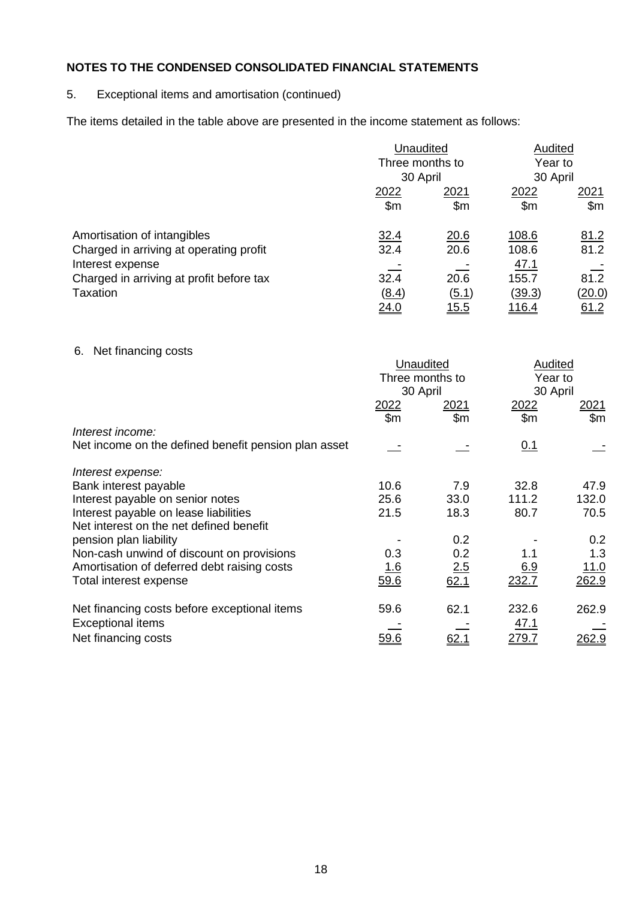# 5. Exceptional items and amortisation (continued)

The items detailed in the table above are presented in the income statement as follows:

|                                          | Unaudited       |              | Audited             |             |
|------------------------------------------|-----------------|--------------|---------------------|-------------|
|                                          | Three months to |              | Year to<br>30 April |             |
|                                          | 30 April        |              |                     |             |
|                                          | 2022            | 2021         | 2022                | 2021        |
|                                          | \$m\$           | $\mathsf{m}$ | \$m                 | \$m\$       |
| Amortisation of intangibles              | 32.4            | 20.6         | 108.6               | 81.2        |
| Charged in arriving at operating profit  | 32.4            | 20.6         | 108.6               | 81.2        |
| Interest expense                         |                 |              | <u>47.1</u>         |             |
| Charged in arriving at profit before tax | 32.4            | 20.6         | 155.7               | 81.2        |
| Taxation                                 | (8.4)           | (5.1)        | <u>(39.3)</u>       | (20.0)      |
|                                          | <u> 24.0</u>    | <u> 15.5</u> | <u> 116.4</u>       | <u>61.2</u> |

# 6. Net financing costs

| <b>U.</b> TVOL IIITAHUITY CUSTS                      | Unaudited<br>Three months to<br>30 April |                                | Audited<br>Year to<br>30 April |                     |
|------------------------------------------------------|------------------------------------------|--------------------------------|--------------------------------|---------------------|
|                                                      | <u> 2022 </u><br>\$m\$                   | <u> 2021 </u><br>$\mathsf{Sm}$ | 2022<br>\$m                    | <u> 2021</u><br>\$m |
| Interest income:                                     |                                          |                                |                                |                     |
| Net income on the defined benefit pension plan asset |                                          |                                | <u>0.1</u>                     |                     |
| Interest expense:                                    |                                          |                                |                                |                     |
| Bank interest payable                                | 10.6                                     | 7.9                            | 32.8                           | 47.9                |
| Interest payable on senior notes                     | 25.6                                     | 33.0                           | 111.2                          | 132.0               |
| Interest payable on lease liabilities                | 21.5                                     | 18.3                           | 80.7                           | 70.5                |
| Net interest on the net defined benefit              |                                          |                                |                                |                     |
| pension plan liability                               |                                          | 0.2                            |                                | 0.2                 |
| Non-cash unwind of discount on provisions            | 0.3                                      | 0.2                            | 1.1                            | 1.3                 |
| Amortisation of deferred debt raising costs          | <u> 1.6</u>                              | 2.5                            | <u>6.9</u>                     | <u> 11.0</u>        |
| Total interest expense                               | 59.6                                     | 62.1                           | 232.7                          | 262.9               |
| Net financing costs before exceptional items         | 59.6                                     | 62.1                           | 232.6                          | 262.9               |
| <b>Exceptional items</b>                             |                                          |                                | <u>47.1</u>                    |                     |
| Net financing costs                                  | <u>59.6</u>                              |                                | <u> 279.7</u>                  | <u> 262.9</u>       |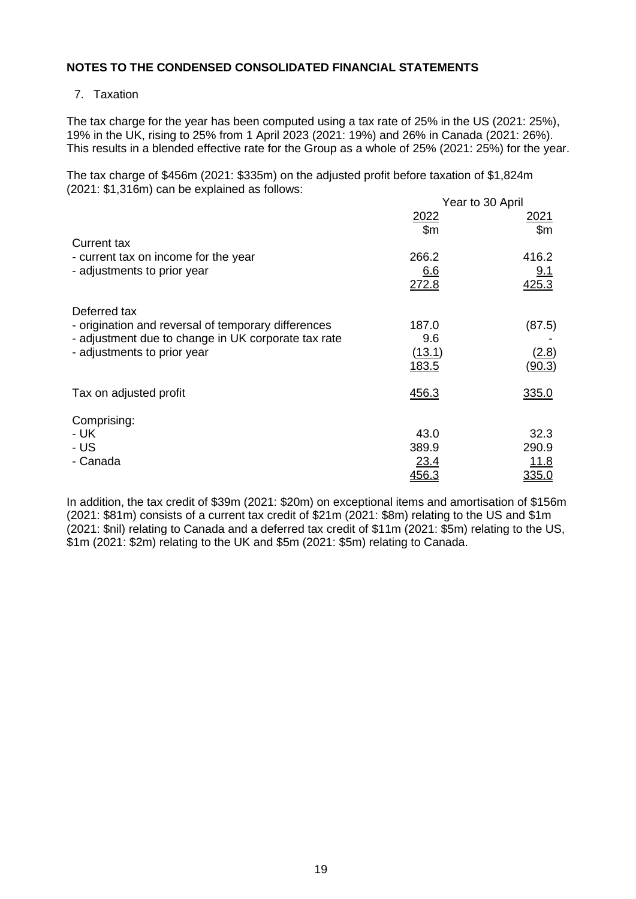## 7. Taxation

The tax charge for the year has been computed using a tax rate of 25% in the US (2021: 25%), 19% in the UK, rising to 25% from 1 April 2023 (2021: 19%) and 26% in Canada (2021: 26%). This results in a blended effective rate for the Group as a whole of 25% (2021: 25%) for the year.

The tax charge of \$456m (2021: \$335m) on the adjusted profit before taxation of \$1,824m (2021: \$1,316m) can be explained as follows:  $Y_{\text{next}}$  to 30 April

|                                                     | Year to 30 April |                               |  |
|-----------------------------------------------------|------------------|-------------------------------|--|
|                                                     | 2022<br>\$m\$    | <u> 2021</u><br>$\mathsf{Sm}$ |  |
| <b>Current tax</b>                                  |                  |                               |  |
| - current tax on income for the year                | 266.2            | 416.2                         |  |
| - adjustments to prior year                         | 6.6              | 9.1                           |  |
|                                                     | 272.8            | 425.3                         |  |
| Deferred tax                                        |                  |                               |  |
| - origination and reversal of temporary differences | 187.0            | (87.5)                        |  |
| - adjustment due to change in UK corporate tax rate | 9.6              |                               |  |
| - adjustments to prior year                         | (13.1)           | (2.8)                         |  |
|                                                     | <u>183.5</u>     | (90.3)                        |  |
| Tax on adjusted profit                              | 456.3            | 335.0                         |  |
| Comprising:                                         |                  |                               |  |
| - UK                                                | 43.0             | 32.3                          |  |
| - US                                                | 389.9            | 290.9                         |  |
| - Canada                                            | 23.4             | 11.8                          |  |
|                                                     | 456.3            | 335.0                         |  |

In addition, the tax credit of \$39m (2021: \$20m) on exceptional items and amortisation of \$156m (2021: \$81m) consists of a current tax credit of \$21m (2021: \$8m) relating to the US and \$1m (2021: \$nil) relating to Canada and a deferred tax credit of \$11m (2021: \$5m) relating to the US, \$1m (2021: \$2m) relating to the UK and \$5m (2021: \$5m) relating to Canada.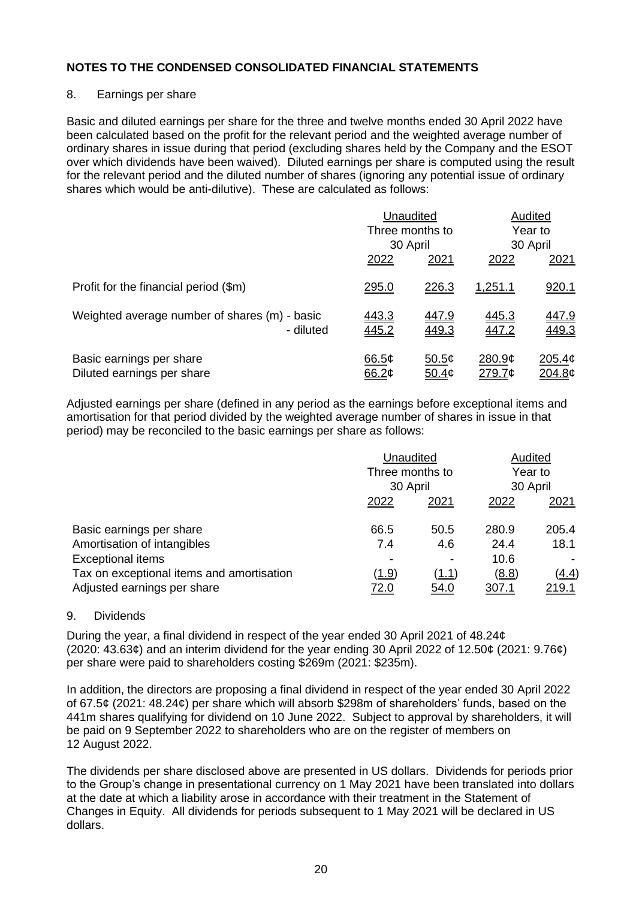## 8. Earnings per share

Basic and diluted earnings per share for the three and twelve months ended 30 April 2022 have been calculated based on the profit for the relevant period and the weighted average number of ordinary shares in issue during that period (excluding shares held by the Company and the ESOT over which dividends have been waived). Diluted earnings per share is computed using the result for the relevant period and the diluted number of shares (ignoring any potential issue of ordinary shares which would be anti-dilutive). These are calculated as follows:

|                                                            | Unaudited      |                             | Audited<br>Year to |                          |  |
|------------------------------------------------------------|----------------|-----------------------------|--------------------|--------------------------|--|
|                                                            |                | Three months to<br>30 April |                    | 30 April                 |  |
|                                                            | 2022           | 2021                        | 2022               | 2021                     |  |
| Profit for the financial period (\$m)                      | <u>295.0</u>   | <u> 226.3</u>               | <u>1,251.1</u>     | 920.1                    |  |
| Weighted average number of shares (m) - basic<br>- diluted | 443.3<br>445.2 | 447.9<br>449.3              | 445.3<br>447.2     | 447.9<br>449.3           |  |
| Basic earnings per share<br>Diluted earnings per share     | 66.5¢<br>66.2¢ | 50.5¢<br>50.4 <sub>¢</sub>  | 280.9¢<br>279.7¢   | <u> 205.4¢</u><br>204.8¢ |  |

Adjusted earnings per share (defined in any period as the earnings before exceptional items and amortisation for that period divided by the weighted average number of shares in issue in that period) may be reconciled to the basic earnings per share as follows:

|                                           | Unaudited<br>Three months to |             | Audited<br>Year to |               |
|-------------------------------------------|------------------------------|-------------|--------------------|---------------|
|                                           |                              |             |                    |               |
|                                           | 30 April                     |             | 30 April           |               |
|                                           | 2022                         | 2021        | 2022               | 2021          |
| Basic earnings per share                  | 66.5                         | 50.5        | 280.9              | 205.4         |
| Amortisation of intangibles               | 7.4                          | 4.6         | 24.4               | 18.1          |
| <b>Exceptional items</b>                  |                              | -           | 10.6               |               |
| Tax on exceptional items and amortisation | <u>(1.9)</u>                 | (1.1)       | <u>(8.8)</u>       | <u>(4.4)</u>  |
| Adjusted earnings per share               | <u>72.0</u>                  | <u>54.0</u> | <u>307.1</u>       | <u> 219.1</u> |

#### 9. Dividends

During the year, a final dividend in respect of the year ended 30 April 2021 of 48.24¢ (2020: 43.63¢) and an interim dividend for the year ending 30 April 2022 of 12.50¢ (2021: 9.76¢) per share were paid to shareholders costing \$269m (2021: \$235m).

In addition, the directors are proposing a final dividend in respect of the year ended 30 April 2022 of 67.5¢ (2021: 48.24¢) per share which will absorb \$298m of shareholders' funds, based on the 441m shares qualifying for dividend on 10 June 2022. Subject to approval by shareholders, it will be paid on 9 September 2022 to shareholders who are on the register of members on 12 August 2022.

The dividends per share disclosed above are presented in US dollars. Dividends for periods prior to the Group's change in presentational currency on 1 May 2021 have been translated into dollars at the date at which a liability arose in accordance with their treatment in the Statement of Changes in Equity. All dividends for periods subsequent to 1 May 2021 will be declared in US dollars.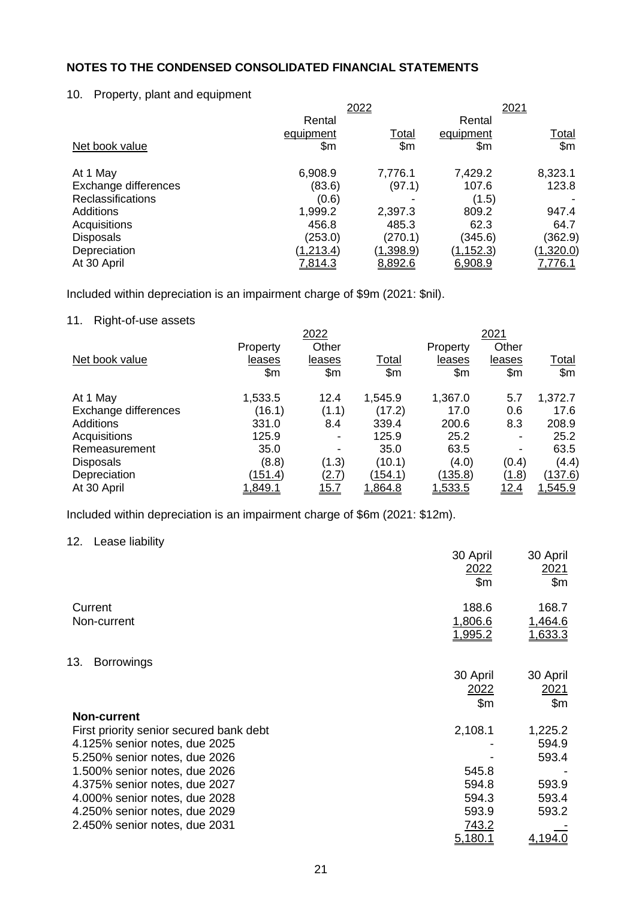## 10. Property, plant and equipment

|            |           |            | 2021         |  |
|------------|-----------|------------|--------------|--|
| Rental     |           | Rental     |              |  |
| equipment  | Total     | equipment  | <u>Total</u> |  |
| \$m        | \$m\$     | \$m        | \$m\$        |  |
| 6,908.9    | 7,776.1   | 7,429.2    | 8,323.1      |  |
| (83.6)     | (97.1)    | 107.6      | 123.8        |  |
| (0.6)      |           | (1.5)      |              |  |
| 1,999.2    | 2,397.3   | 809.2      | 947.4        |  |
| 456.8      | 485.3     | 62.3       | 64.7         |  |
| (253.0)    | (270.1)   | (345.6)    | (362.9)      |  |
| (1, 213.4) | (1,398.9) | (1, 152.3) | (1,320.0)    |  |
| 7,814.3    | 8,892.6   | 6,908.9    | 7,776.1      |  |
|            |           | 2022       |              |  |

Included within depreciation is an impairment charge of \$9m (2021: \$nil).

# 11. Right-of-use assets

|                      |          | 2022           |               |               | 2021           |                |
|----------------------|----------|----------------|---------------|---------------|----------------|----------------|
|                      | Property | Other          |               | Property      | Other          |                |
| Net book value       | leases   | leases         | <b>Total</b>  | leases        | leases         | <u>Total</u>   |
|                      | \$m      | \$m            | $\mathsf{Sm}$ | $\mathsf{Sm}$ | \$m\$          | \$m\$          |
| At 1 May             | 1,533.5  | 12.4           | 1,545.9       | 1,367.0       | 5.7            | 1,372.7        |
| Exchange differences | (16.1)   | (1.1)          | (17.2)        | 17.0          | 0.6            | 17.6           |
| <b>Additions</b>     | 331.0    | 8.4            | 339.4         | 200.6         | 8.3            | 208.9          |
| Acquisitions         | 125.9    | $\blacksquare$ | 125.9         | 25.2          | $\blacksquare$ | 25.2           |
| Remeasurement        | 35.0     | $\blacksquare$ | 35.0          | 63.5          | ۰              | 63.5           |
| <b>Disposals</b>     | (8.8)    | (1.3)          | (10.1)        | (4.0)         | (0.4)          | (4.4)          |
| Depreciation         | (151.4)  | <u>(2.7)</u>   | (154.1)       | (135.8)       | (1.8)          | <u>(137.6)</u> |
| At 30 April          | 1,849.1  | <u> 15.7</u>   | 1,864.8       | 1,533.5       | <u>12.4</u>    | 1,545.9        |

Included within depreciation is an impairment charge of \$6m (2021: \$12m).

# 12. Lease liability

|                                         | 30 April<br>2022<br>\$m | 30 April<br>2021<br>\$m\$ |
|-----------------------------------------|-------------------------|---------------------------|
| Current<br>Non-current                  | 188.6<br>1,806.6        | 168.7<br>1,464.6          |
|                                         | <u>1,995.2</u>          | 1,633.3                   |
| <b>Borrowings</b><br>13.                |                         |                           |
|                                         | 30 April                | 30 April                  |
|                                         | 2022                    | 2021                      |
|                                         | \$m                     | \$m\$                     |
| <b>Non-current</b>                      |                         |                           |
| First priority senior secured bank debt | 2,108.1                 | 1,225.2                   |
| 4.125% senior notes, due 2025           |                         | 594.9                     |
| 5.250% senior notes, due 2026           |                         | 593.4                     |
| 1.500% senior notes, due 2026           | 545.8                   |                           |
| 4.375% senior notes, due 2027           | 594.8                   | 593.9                     |
| 4.000% senior notes, due 2028           | 594.3                   | 593.4                     |
| 4.250% senior notes, due 2029           | 593.9                   | 593.2                     |
| 2.450% senior notes, due 2031           | 743.2                   |                           |
|                                         | 5.180.1                 | 4,194.0                   |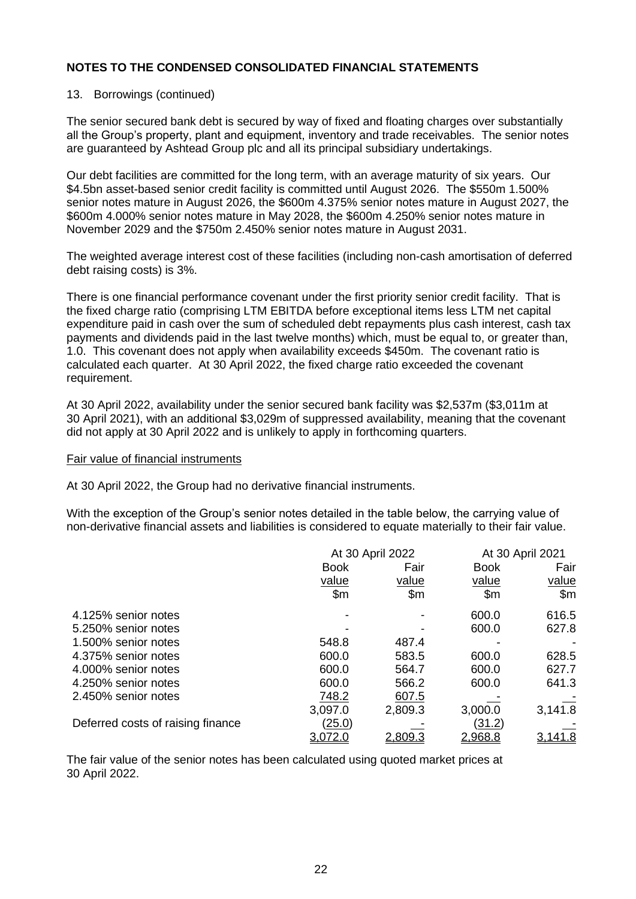## 13. Borrowings (continued)

The senior secured bank debt is secured by way of fixed and floating charges over substantially all the Group's property, plant and equipment, inventory and trade receivables. The senior notes are guaranteed by Ashtead Group plc and all its principal subsidiary undertakings.

Our debt facilities are committed for the long term, with an average maturity of six years. Our \$4.5bn asset-based senior credit facility is committed until August 2026. The \$550m 1.500% senior notes mature in August 2026, the \$600m 4.375% senior notes mature in August 2027, the \$600m 4.000% senior notes mature in May 2028, the \$600m 4.250% senior notes mature in November 2029 and the \$750m 2.450% senior notes mature in August 2031.

The weighted average interest cost of these facilities (including non-cash amortisation of deferred debt raising costs) is 3%.

There is one financial performance covenant under the first priority senior credit facility. That is the fixed charge ratio (comprising LTM EBITDA before exceptional items less LTM net capital expenditure paid in cash over the sum of scheduled debt repayments plus cash interest, cash tax payments and dividends paid in the last twelve months) which, must be equal to, or greater than, 1.0. This covenant does not apply when availability exceeds \$450m. The covenant ratio is calculated each quarter. At 30 April 2022, the fixed charge ratio exceeded the covenant requirement.

At 30 April 2022, availability under the senior secured bank facility was \$2,537m (\$3,011m at 30 April 2021), with an additional \$3,029m of suppressed availability, meaning that the covenant did not apply at 30 April 2022 and is unlikely to apply in forthcoming quarters.

#### Fair value of financial instruments

At 30 April 2022, the Group had no derivative financial instruments.

With the exception of the Group's senior notes detailed in the table below, the carrying value of non-derivative financial assets and liabilities is considered to equate materially to their fair value.

|                                   |                | At 30 April 2022 |                | At 30 April 2021 |  |  |
|-----------------------------------|----------------|------------------|----------------|------------------|--|--|
|                                   | <b>Book</b>    | Fair             | <b>Book</b>    | Fair             |  |  |
|                                   | value          | value            | value          | value            |  |  |
|                                   | $\mathsf{S}$ m | \$m              | $\mathsf{S}$ m | \$m\$            |  |  |
| 4.125% senior notes               |                |                  | 600.0          | 616.5            |  |  |
| 5.250% senior notes               |                |                  | 600.0          | 627.8            |  |  |
| 1.500% senior notes               | 548.8          | 487.4            |                |                  |  |  |
| 4.375% senior notes               | 600.0          | 583.5            | 600.0          | 628.5            |  |  |
| 4.000% senior notes               | 600.0          | 564.7            | 600.0          | 627.7            |  |  |
| 4.250% senior notes               | 600.0          | 566.2            | 600.0          | 641.3            |  |  |
| 2.450% senior notes               | 748.2          | 607.5            |                |                  |  |  |
|                                   | 3,097.0        | 2,809.3          | 3,000.0        | 3,141.8          |  |  |
| Deferred costs of raising finance | <u>(25.0)</u>  |                  | (31.2)         |                  |  |  |
|                                   | 3,072.0        | <u>2,809.3</u>   | 2,968.8        | 3,141.8          |  |  |

The fair value of the senior notes has been calculated using quoted market prices at 30 April 2022.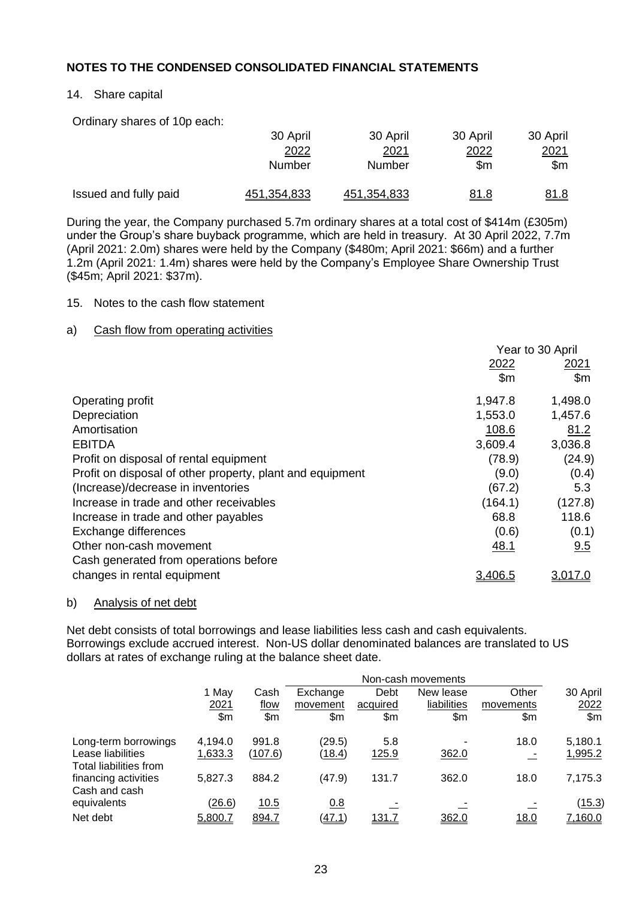## 14. Share capital

Ordinary shares of 10p each:

|                       | 30 April    | 30 April           | 30 April    | 30 April    |
|-----------------------|-------------|--------------------|-------------|-------------|
|                       | 2022        | 2021               | 2022        | 2021        |
|                       | Number      | Number             | \$m         | \$m         |
| Issued and fully paid | 451,354,833 | <u>451.354.833</u> | <u>81.8</u> | <u>81.8</u> |

During the year, the Company purchased 5.7m ordinary shares at a total cost of \$414m (£305m) under the Group's share buyback programme, which are held in treasury. At 30 April 2022, 7.7m (April 2021: 2.0m) shares were held by the Company (\$480m; April 2021: \$66m) and a further 1.2m (April 2021: 1.4m) shares were held by the Company's Employee Share Ownership Trust (\$45m; April 2021: \$37m).

## 15. Notes to the cash flow statement

## a) Cash flow from operating activities

|                                                           | Year to 30 April |             |  |
|-----------------------------------------------------------|------------------|-------------|--|
|                                                           | 2022             | <u>2021</u> |  |
|                                                           | $\mathsf{Sm}$    | \$m\$       |  |
| Operating profit                                          | 1,947.8          | 1,498.0     |  |
| Depreciation                                              | 1,553.0          | 1,457.6     |  |
| Amortisation                                              | 108.6            | 81.2        |  |
| <b>EBITDA</b>                                             | 3,609.4          | 3,036.8     |  |
| Profit on disposal of rental equipment                    | (78.9)           | (24.9)      |  |
| Profit on disposal of other property, plant and equipment | (9.0)            | (0.4)       |  |
| (Increase)/decrease in inventories                        | (67.2)           | 5.3         |  |
| Increase in trade and other receivables                   | (164.1)          | (127.8)     |  |
| Increase in trade and other payables                      | 68.8             | 118.6       |  |
| Exchange differences                                      | (0.6)            | (0.1)       |  |
| Other non-cash movement                                   | 48.1             | 9.5         |  |
| Cash generated from operations before                     |                  |             |  |
| changes in rental equipment                               | 3,406.5          | 3,017.0     |  |

#### b) Analysis of net debt

Net debt consists of total borrowings and lease liabilities less cash and cash equivalents. Borrowings exclude accrued interest. Non-US dollar denominated balances are translated to US dollars at rates of exchange ruling at the balance sheet date.

|                                             |               | Non-cash movements |          |              |             |             |          |  |  |  |
|---------------------------------------------|---------------|--------------------|----------|--------------|-------------|-------------|----------|--|--|--|
|                                             | 1 May         | Cash               | Exchange | Debt         | New lease   | Other       | 30 April |  |  |  |
|                                             | 2021          | flow               | movement | acquired     | liabilities | movements   | 2022     |  |  |  |
|                                             | \$m           | \$m                | \$m      | \$m          | \$m         | \$m         | \$m\$    |  |  |  |
| Long-term borrowings                        | 4,194.0       | 991.8              | (29.5)   | 5.8          |             | 18.0        | 5,180.1  |  |  |  |
| Lease liabilities<br>Total liabilities from | 1,633.3       | (107.6)            | (18.4)   | <u>125.9</u> | 362.0       |             | 1,995.2  |  |  |  |
| financing activities<br>Cash and cash       | 5,827.3       | 884.2              | (47.9)   | 131.7        | 362.0       | 18.0        | 7,175.3  |  |  |  |
| equivalents                                 | <u>(26.6)</u> | 10.5               | 0.8      |              |             |             | (15.3)   |  |  |  |
| Net debt                                    | 5,800.7       | 894.7              | (47.1)   | 131.7        | 362.0       | <u>18.0</u> | 7,160.0  |  |  |  |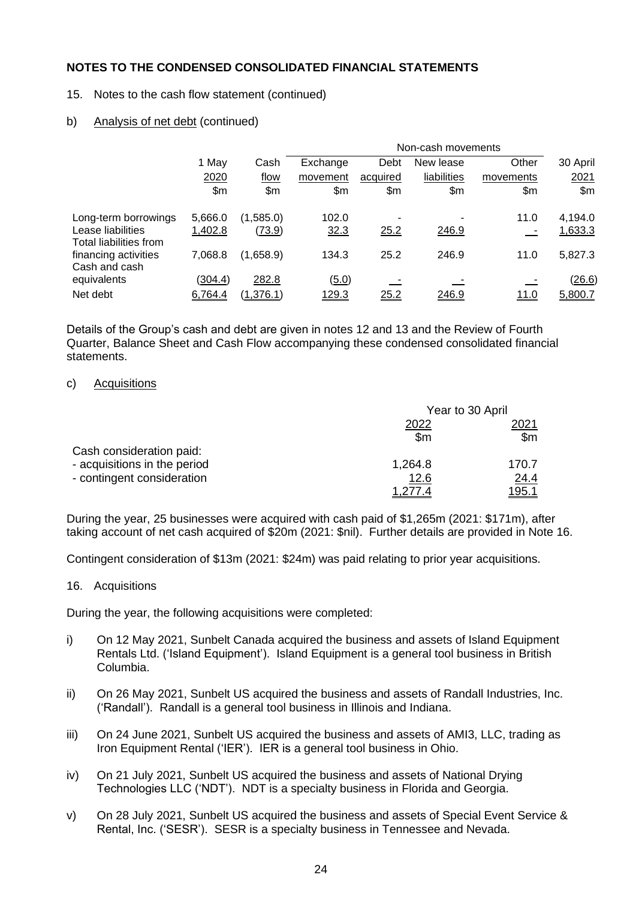## 15. Notes to the cash flow statement (continued)

## b) Analysis of net debt (continued)

|                                             |         |               | Non-cash movements |          |             |             |          |  |  |
|---------------------------------------------|---------|---------------|--------------------|----------|-------------|-------------|----------|--|--|
|                                             | 1 May   | Cash          | Exchange           | Debt     | New lease   | Other       | 30 April |  |  |
|                                             | 2020    | flow          | movement           | acquired | liabilities | movements   | 2021     |  |  |
|                                             | \$m     | \$m           | \$m\$              | \$m      | \$m         | \$m\$       | \$m      |  |  |
| Long-term borrowings                        | 5,666.0 | (1,585.0)     | 102.0              |          |             | 11.0        | 4,194.0  |  |  |
| Lease liabilities<br>Total liabilities from | 1,402.8 | <u>(73.9)</u> | 32.3               | 25.2     | 246.9       |             | 1,633.3  |  |  |
| financing activities<br>Cash and cash       | 7,068.8 | (1,658.9)     | 134.3              | 25.2     | 246.9       | 11.0        | 5,827.3  |  |  |
| equivalents                                 | (304.4) | 282.8         | (5.0)              |          |             |             | (26.6)   |  |  |
| Net debt                                    | 6,764.4 | (1, 376.1)    | 129.3              | 25.2     | 246.9       | <u>11.0</u> | 5,800.7  |  |  |

Details of the Group's cash and debt are given in notes 12 and 13 and the Review of Fourth Quarter, Balance Sheet and Cash Flow accompanying these condensed consolidated financial statements.

#### c) Acquisitions

|                              | Year to 30 April |                |
|------------------------------|------------------|----------------|
|                              | 2022             | 2021           |
|                              | $\mathsf{S}$ m   | $\mathsf{S}$ m |
| Cash consideration paid:     |                  |                |
| - acquisitions in the period | 1,264.8          | 170.7          |
| - contingent consideration   | <u>12.6</u>      | <u>24.4</u>    |
|                              |                  | <u>95.1</u>    |

During the year, 25 businesses were acquired with cash paid of \$1,265m (2021: \$171m), after taking account of net cash acquired of \$20m (2021: \$nil). Further details are provided in Note 16.

Contingent consideration of \$13m (2021: \$24m) was paid relating to prior year acquisitions.

#### 16. Acquisitions

During the year, the following acquisitions were completed:

- i) On 12 May 2021, Sunbelt Canada acquired the business and assets of Island Equipment Rentals Ltd. ('Island Equipment'). Island Equipment is a general tool business in British Columbia.
- ii) On 26 May 2021, Sunbelt US acquired the business and assets of Randall Industries, Inc. ('Randall'). Randall is a general tool business in Illinois and Indiana.
- iii) On 24 June 2021, Sunbelt US acquired the business and assets of AMI3, LLC, trading as Iron Equipment Rental ('IER'). IER is a general tool business in Ohio.
- iv) On 21 July 2021, Sunbelt US acquired the business and assets of National Drying Technologies LLC ('NDT'). NDT is a specialty business in Florida and Georgia.
- v) On 28 July 2021, Sunbelt US acquired the business and assets of Special Event Service & Rental, Inc. ('SESR'). SESR is a specialty business in Tennessee and Nevada.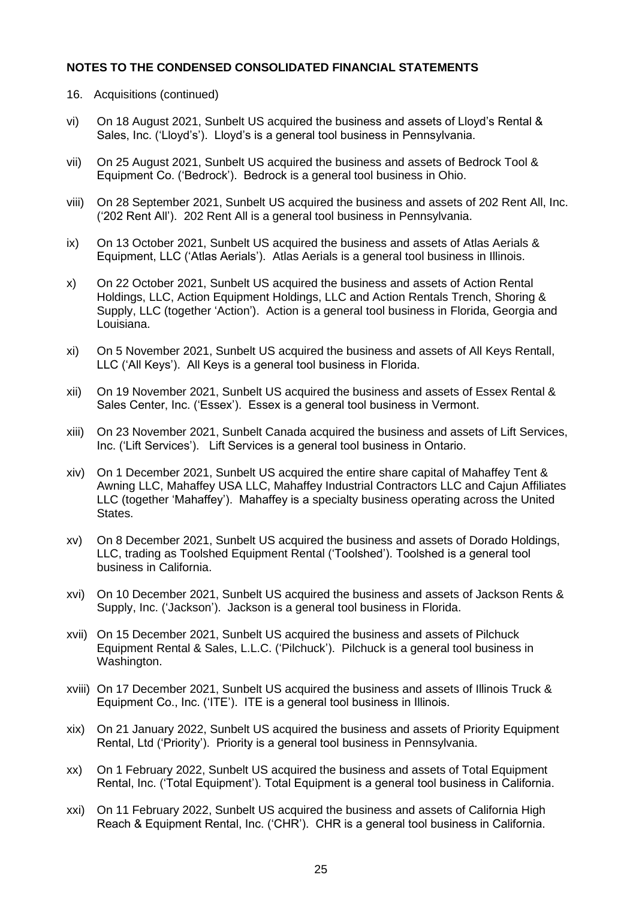- 16. Acquisitions (continued)
- vi) On 18 August 2021, Sunbelt US acquired the business and assets of Lloyd's Rental & Sales, Inc. ('Lloyd's'). Lloyd's is a general tool business in Pennsylvania.
- vii) On 25 August 2021, Sunbelt US acquired the business and assets of Bedrock Tool & Equipment Co. ('Bedrock'). Bedrock is a general tool business in Ohio.
- viii) On 28 September 2021, Sunbelt US acquired the business and assets of 202 Rent All, Inc. ('202 Rent All'). 202 Rent All is a general tool business in Pennsylvania.
- ix) On 13 October 2021, Sunbelt US acquired the business and assets of Atlas Aerials & Equipment, LLC ('Atlas Aerials'). Atlas Aerials is a general tool business in Illinois.
- x) On 22 October 2021, Sunbelt US acquired the business and assets of Action Rental Holdings, LLC, Action Equipment Holdings, LLC and Action Rentals Trench, Shoring & Supply, LLC (together 'Action'). Action is a general tool business in Florida, Georgia and Louisiana.
- xi) On 5 November 2021, Sunbelt US acquired the business and assets of All Keys Rentall, LLC ('All Keys'). All Keys is a general tool business in Florida.
- xii) On 19 November 2021, Sunbelt US acquired the business and assets of Essex Rental & Sales Center, Inc. ('Essex'). Essex is a general tool business in Vermont.
- xiii) On 23 November 2021, Sunbelt Canada acquired the business and assets of Lift Services, Inc. ('Lift Services'). Lift Services is a general tool business in Ontario.
- xiv) On 1 December 2021, Sunbelt US acquired the entire share capital of Mahaffey Tent & Awning LLC, Mahaffey USA LLC, Mahaffey Industrial Contractors LLC and Cajun Affiliates LLC (together 'Mahaffey'). Mahaffey is a specialty business operating across the United States.
- xv) On 8 December 2021, Sunbelt US acquired the business and assets of Dorado Holdings, LLC, trading as Toolshed Equipment Rental ('Toolshed'). Toolshed is a general tool business in California.
- xvi) On 10 December 2021, Sunbelt US acquired the business and assets of Jackson Rents & Supply, Inc. ('Jackson'). Jackson is a general tool business in Florida.
- xvii) On 15 December 2021, Sunbelt US acquired the business and assets of Pilchuck Equipment Rental & Sales, L.L.C. ('Pilchuck'). Pilchuck is a general tool business in Washington.
- xviii) On 17 December 2021, Sunbelt US acquired the business and assets of Illinois Truck & Equipment Co., Inc. ('ITE'). ITE is a general tool business in Illinois.
- xix) On 21 January 2022, Sunbelt US acquired the business and assets of Priority Equipment Rental, Ltd ('Priority'). Priority is a general tool business in Pennsylvania.
- xx) On 1 February 2022, Sunbelt US acquired the business and assets of Total Equipment Rental, Inc. ('Total Equipment'). Total Equipment is a general tool business in California.
- xxi) On 11 February 2022, Sunbelt US acquired the business and assets of California High Reach & Equipment Rental, Inc. ('CHR'). CHR is a general tool business in California.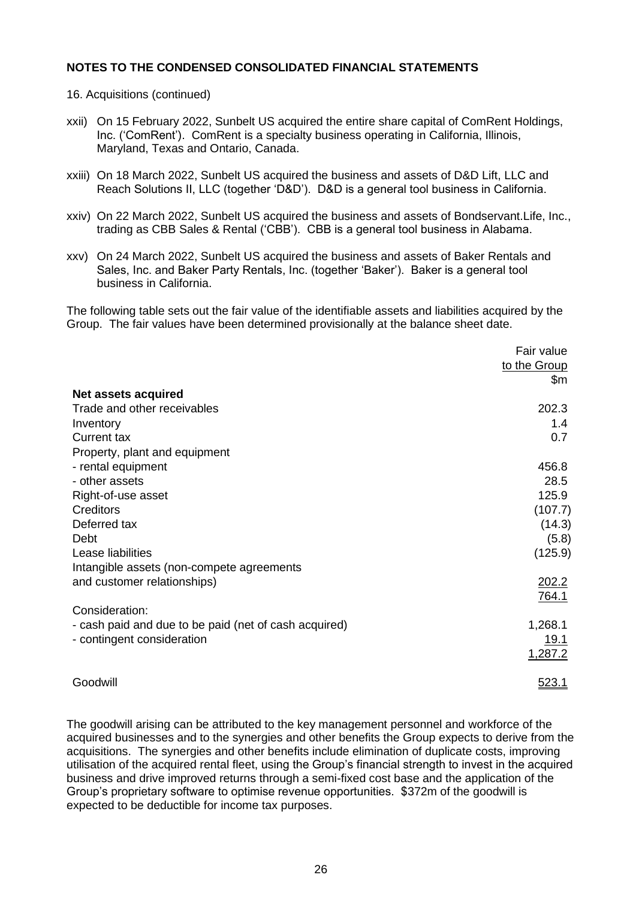16. Acquisitions (continued)

- xxii) On 15 February 2022, Sunbelt US acquired the entire share capital of ComRent Holdings, Inc. ('ComRent'). ComRent is a specialty business operating in California, Illinois, Maryland, Texas and Ontario, Canada.
- xxiii) On 18 March 2022, Sunbelt US acquired the business and assets of D&D Lift, LLC and Reach Solutions II, LLC (together 'D&D'). D&D is a general tool business in California.
- xxiv) On 22 March 2022, Sunbelt US acquired the business and assets of Bondservant.Life, Inc., trading as CBB Sales & Rental ('CBB'). CBB is a general tool business in Alabama.
- xxv) On 24 March 2022, Sunbelt US acquired the business and assets of Baker Rentals and Sales, Inc. and Baker Party Rentals, Inc. (together 'Baker'). Baker is a general tool business in California.

The following table sets out the fair value of the identifiable assets and liabilities acquired by the Group. The fair values have been determined provisionally at the balance sheet date.

|                                                       | Fair value   |
|-------------------------------------------------------|--------------|
|                                                       | to the Group |
|                                                       | \$m          |
| Net assets acquired                                   |              |
| Trade and other receivables                           | 202.3        |
| Inventory                                             | 1.4          |
| <b>Current tax</b>                                    | 0.7          |
| Property, plant and equipment                         |              |
| - rental equipment                                    | 456.8        |
| - other assets                                        | 28.5         |
| Right-of-use asset                                    | 125.9        |
| <b>Creditors</b>                                      | (107.7)      |
| Deferred tax                                          | (14.3)       |
| Debt                                                  | (5.8)        |
| Lease liabilities                                     | (125.9)      |
| Intangible assets (non-compete agreements             |              |
| and customer relationships)                           | 202.2        |
|                                                       | 764.1        |
| Consideration:                                        |              |
| - cash paid and due to be paid (net of cash acquired) | 1,268.1      |
| - contingent consideration                            | <u>19.1</u>  |
|                                                       | 1,287.2      |
| Goodwill                                              | 523.1        |

The goodwill arising can be attributed to the key management personnel and workforce of the acquired businesses and to the synergies and other benefits the Group expects to derive from the acquisitions. The synergies and other benefits include elimination of duplicate costs, improving utilisation of the acquired rental fleet, using the Group's financial strength to invest in the acquired business and drive improved returns through a semi-fixed cost base and the application of the Group's proprietary software to optimise revenue opportunities. \$372m of the goodwill is expected to be deductible for income tax purposes.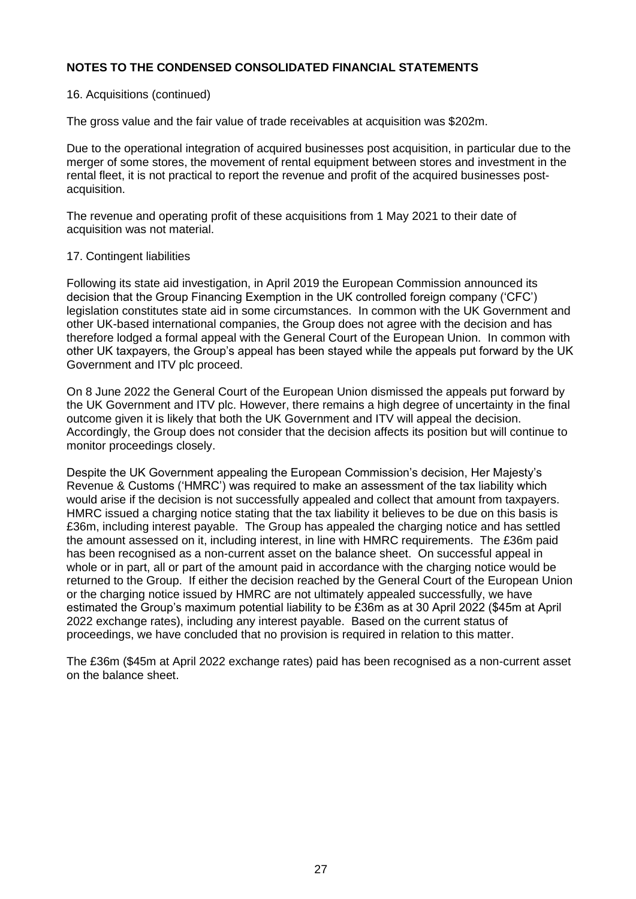## 16. Acquisitions (continued)

The gross value and the fair value of trade receivables at acquisition was \$202m.

Due to the operational integration of acquired businesses post acquisition, in particular due to the merger of some stores, the movement of rental equipment between stores and investment in the rental fleet, it is not practical to report the revenue and profit of the acquired businesses postacquisition.

The revenue and operating profit of these acquisitions from 1 May 2021 to their date of acquisition was not material.

#### 17. Contingent liabilities

Following its state aid investigation, in April 2019 the European Commission announced its decision that the Group Financing Exemption in the UK controlled foreign company ('CFC') legislation constitutes state aid in some circumstances. In common with the UK Government and other UK-based international companies, the Group does not agree with the decision and has therefore lodged a formal appeal with the General Court of the European Union. In common with other UK taxpayers, the Group's appeal has been stayed while the appeals put forward by the UK Government and ITV plc proceed.

On 8 June 2022 the General Court of the European Union dismissed the appeals put forward by the UK Government and ITV plc. However, there remains a high degree of uncertainty in the final outcome given it is likely that both the UK Government and ITV will appeal the decision. Accordingly, the Group does not consider that the decision affects its position but will continue to monitor proceedings closely.

Despite the UK Government appealing the European Commission's decision, Her Majesty's Revenue & Customs ('HMRC') was required to make an assessment of the tax liability which would arise if the decision is not successfully appealed and collect that amount from taxpayers. HMRC issued a charging notice stating that the tax liability it believes to be due on this basis is £36m, including interest payable. The Group has appealed the charging notice and has settled the amount assessed on it, including interest, in line with HMRC requirements. The £36m paid has been recognised as a non-current asset on the balance sheet. On successful appeal in whole or in part, all or part of the amount paid in accordance with the charging notice would be returned to the Group. If either the decision reached by the General Court of the European Union or the charging notice issued by HMRC are not ultimately appealed successfully, we have estimated the Group's maximum potential liability to be £36m as at 30 April 2022 (\$45m at April 2022 exchange rates), including any interest payable. Based on the current status of proceedings, we have concluded that no provision is required in relation to this matter.

The £36m (\$45m at April 2022 exchange rates) paid has been recognised as a non-current asset on the balance sheet.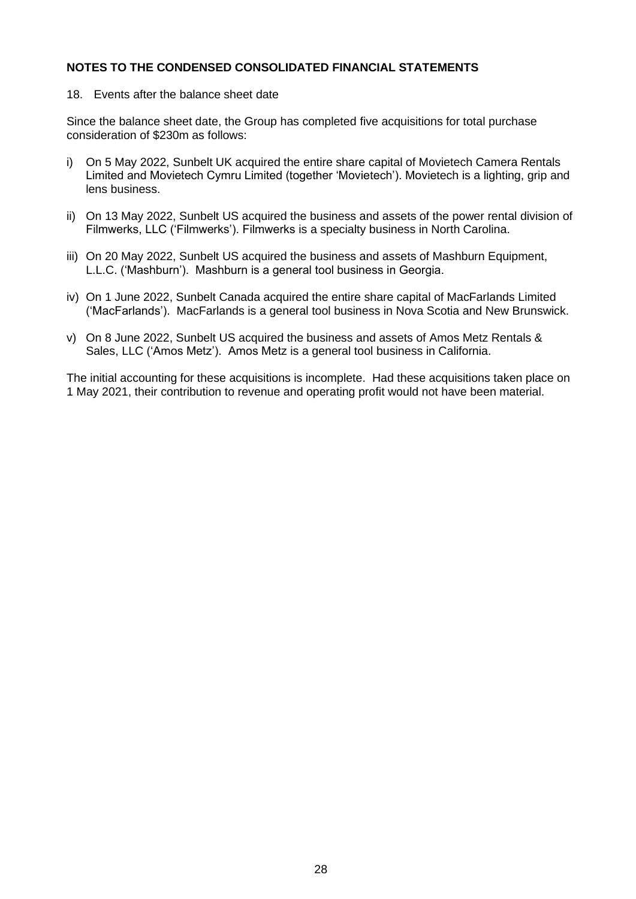18. Events after the balance sheet date

Since the balance sheet date, the Group has completed five acquisitions for total purchase consideration of \$230m as follows:

- i) On 5 May 2022, Sunbelt UK acquired the entire share capital of Movietech Camera Rentals Limited and Movietech Cymru Limited (together 'Movietech'). Movietech is a lighting, grip and lens business.
- ii) On 13 May 2022, Sunbelt US acquired the business and assets of the power rental division of Filmwerks, LLC ('Filmwerks'). Filmwerks is a specialty business in North Carolina.
- iii) On 20 May 2022, Sunbelt US acquired the business and assets of Mashburn Equipment, L.L.C. ('Mashburn'). Mashburn is a general tool business in Georgia.
- iv) On 1 June 2022, Sunbelt Canada acquired the entire share capital of MacFarlands Limited ('MacFarlands'). MacFarlands is a general tool business in Nova Scotia and New Brunswick.
- v) On 8 June 2022, Sunbelt US acquired the business and assets of Amos Metz Rentals & Sales, LLC ('Amos Metz'). Amos Metz is a general tool business in California.

The initial accounting for these acquisitions is incomplete. Had these acquisitions taken place on 1 May 2021, their contribution to revenue and operating profit would not have been material.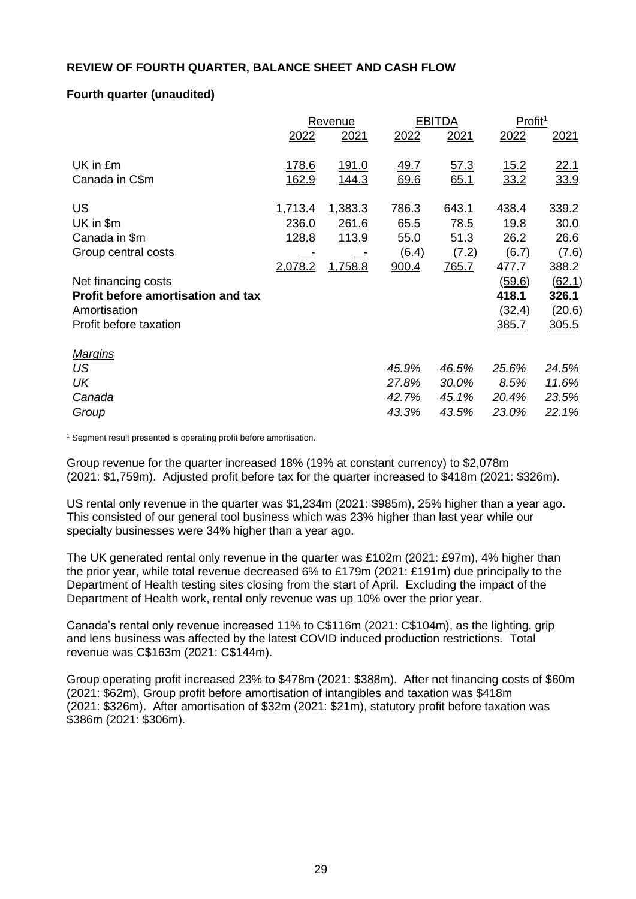## **REVIEW OF FOURTH QUARTER, BALANCE SHEET AND CASH FLOW**

## **Fourth quarter (unaudited)**

|                                           |         | <b>Revenue</b> |                     | <b>EBITDA</b> | Profit <sup>1</sup> |        |
|-------------------------------------------|---------|----------------|---------------------|---------------|---------------------|--------|
|                                           | 2022    | 2021           | 2022                | 2021          | 2022                | 2021   |
| UK in £m                                  | 178.6   | <u>191.0</u>   | 49.7                | 57.3          | 15.2                | 22.1   |
| Canada in C\$m                            | 162.9   | 144.3          | 69.6                | 65.1          | 33.2                | 33.9   |
| US                                        | 1,713.4 | 1,383.3        | 786.3               | 643.1         | 438.4               | 339.2  |
| UK in \$m                                 | 236.0   | 261.6          | 65.5                | 78.5          | 19.8                | 30.0   |
| Canada in \$m                             | 128.8   | 113.9          | 55.0                | 51.3          | 26.2                | 26.6   |
| Group central costs                       |         |                | $\underline{(6.4)}$ | (7.2)         | (6.7)               | (7.6)  |
|                                           | 2,078.2 | 1,758.8        | 900.4               | 765.7         | 477.7               | 388.2  |
| Net financing costs                       |         |                |                     |               | (59.6)              | (62.1) |
| <b>Profit before amortisation and tax</b> |         |                |                     |               | 418.1               | 326.1  |
| Amortisation                              |         |                |                     |               | (32.4)              | (20.6) |
| Profit before taxation                    |         |                |                     |               | 385.7               | 305.5  |
| <b>Margins</b>                            |         |                |                     |               |                     |        |
| US                                        |         |                | 45.9%               | 46.5%         | 25.6%               | 24.5%  |
| UK                                        |         |                | 27.8%               | 30.0%         | 8.5%                | 11.6%  |
| Canada                                    |         |                | 42.7%               | 45.1%         | 20.4%               | 23.5%  |
| Group                                     |         |                | 43.3%               | 43.5%         | 23.0%               | 22.1%  |

<sup>1</sup> Segment result presented is operating profit before amortisation.

Group revenue for the quarter increased 18% (19% at constant currency) to \$2,078m (2021: \$1,759m). Adjusted profit before tax for the quarter increased to \$418m (2021: \$326m).

US rental only revenue in the quarter was \$1,234m (2021: \$985m), 25% higher than a year ago. This consisted of our general tool business which was 23% higher than last year while our specialty businesses were 34% higher than a year ago.

The UK generated rental only revenue in the quarter was £102m (2021: £97m), 4% higher than the prior year, while total revenue decreased 6% to £179m (2021: £191m) due principally to the Department of Health testing sites closing from the start of April. Excluding the impact of the Department of Health work, rental only revenue was up 10% over the prior year.

Canada's rental only revenue increased 11% to C\$116m (2021: C\$104m), as the lighting, grip and lens business was affected by the latest COVID induced production restrictions. Total revenue was C\$163m (2021: C\$144m).

Group operating profit increased 23% to \$478m (2021: \$388m). After net financing costs of \$60m (2021: \$62m), Group profit before amortisation of intangibles and taxation was \$418m (2021: \$326m). After amortisation of \$32m (2021: \$21m), statutory profit before taxation was \$386m (2021: \$306m).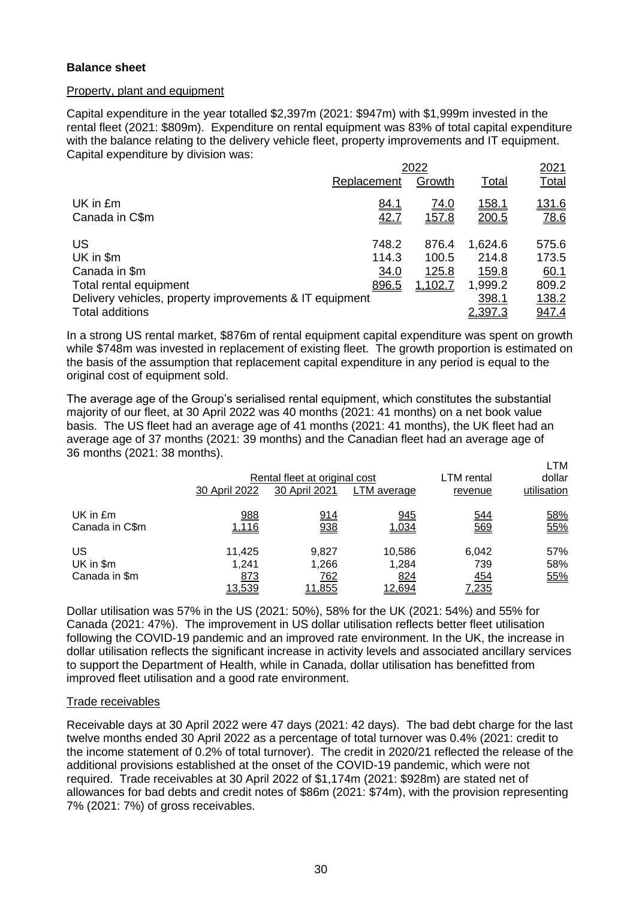## **Balance sheet**

## Property, plant and equipment

Capital expenditure in the year totalled \$2,397m (2021: \$947m) with \$1,999m invested in the rental fleet (2021: \$809m). Expenditure on rental equipment was 83% of total capital expenditure with the balance relating to the delivery vehicle fleet, property improvements and IT equipment. Capital expenditure by division was:

|                                                         | 2022        |              |              |              |  |
|---------------------------------------------------------|-------------|--------------|--------------|--------------|--|
|                                                         | Replacement | Growth       | Total        | <u>Total</u> |  |
| UK in £m                                                | <u>84.1</u> | <u>74.0</u>  | <u>158.1</u> | 131.6        |  |
| Canada in C\$m                                          | 42.7        | <u>157.8</u> | 200.5        | <u>78.6</u>  |  |
| US                                                      | 748.2       | 876.4        | 1,624.6      | 575.6        |  |
| UK in \$m                                               | 114.3       | 100.5        | 214.8        | 173.5        |  |
| Canada in \$m                                           | 34.0        | 125.8        | 159.8        | 60.1         |  |
| Total rental equipment                                  | 896.5       | 1,102.7      | 1,999.2      | 809.2        |  |
| Delivery vehicles, property improvements & IT equipment |             |              | 398.1        | 138.2        |  |
| <b>Total additions</b>                                  |             |              | 2,397.3      | <u>947.4</u> |  |

In a strong US rental market, \$876m of rental equipment capital expenditure was spent on growth while \$748m was invested in replacement of existing fleet. The growth proportion is estimated on the basis of the assumption that replacement capital expenditure in any period is equal to the original cost of equipment sold.

The average age of the Group's serialised rental equipment, which constitutes the substantial majority of our fleet, at 30 April 2022 was 40 months (2021: 41 months) on a net book value basis. The US fleet had an average age of 41 months (2021: 41 months), the UK fleet had an average age of 37 months (2021: 39 months) and the Canadian fleet had an average age of 36 months (2021: 38 months).

|                                  | 30 April 2022                    | Rental fleet at original cost<br>30 April 2021 | LTM average                      | LTM rental<br>revenue               | LTM<br>dollar<br>utilisation |
|----------------------------------|----------------------------------|------------------------------------------------|----------------------------------|-------------------------------------|------------------------------|
| UK in £m<br>Canada in C\$m       | 988<br>1,116                     | 914<br>938                                     | 945<br>1,034                     | <u>544</u><br>569                   | 58%<br>55%                   |
| US<br>UK in \$m<br>Canada in \$m | 11,425<br>1.241<br>873<br>13,539 | 9,827<br>1,266<br>762<br>11,855                | 10,586<br>1,284<br>824<br>12,694 | 6,042<br>739<br>454<br><u>7,235</u> | 57%<br>58%<br>55%            |

Dollar utilisation was 57% in the US (2021: 50%), 58% for the UK (2021: 54%) and 55% for Canada (2021: 47%). The improvement in US dollar utilisation reflects better fleet utilisation following the COVID-19 pandemic and an improved rate environment. In the UK, the increase in dollar utilisation reflects the significant increase in activity levels and associated ancillary services to support the Department of Health, while in Canada, dollar utilisation has benefitted from improved fleet utilisation and a good rate environment.

#### Trade receivables

Receivable days at 30 April 2022 were 47 days (2021: 42 days). The bad debt charge for the last twelve months ended 30 April 2022 as a percentage of total turnover was 0.4% (2021: credit to the income statement of 0.2% of total turnover). The credit in 2020/21 reflected the release of the additional provisions established at the onset of the COVID-19 pandemic, which were not required. Trade receivables at 30 April 2022 of \$1,174m (2021: \$928m) are stated net of allowances for bad debts and credit notes of \$86m (2021: \$74m), with the provision representing 7% (2021: 7%) of gross receivables.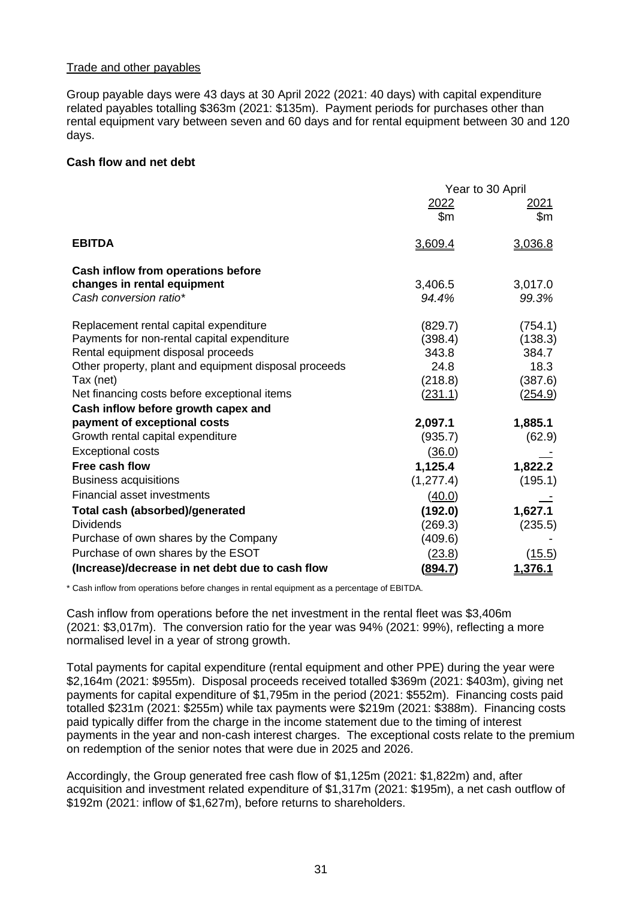## Trade and other payables

Group payable days were 43 days at 30 April 2022 (2021: 40 days) with capital expenditure related payables totalling \$363m (2021: \$135m). Payment periods for purchases other than rental equipment vary between seven and 60 days and for rental equipment between 30 and 120 days.

## **Cash flow and net debt**

|                                                       | Year to 30 April |                |  |
|-------------------------------------------------------|------------------|----------------|--|
|                                                       | 2022             | <u> 2021 </u>  |  |
|                                                       | \$m              | $\mathsf{Sm}$  |  |
| <b>EBITDA</b>                                         | 3,609.4          | 3,036.8        |  |
| Cash inflow from operations before                    |                  |                |  |
| changes in rental equipment                           | 3,406.5          | 3,017.0        |  |
| Cash conversion ratio*                                | 94.4%            | 99.3%          |  |
| Replacement rental capital expenditure                | (829.7)          | (754.1)        |  |
| Payments for non-rental capital expenditure           | (398.4)          | (138.3)        |  |
| Rental equipment disposal proceeds                    | 343.8            | 384.7          |  |
| Other property, plant and equipment disposal proceeds | 24.8             | 18.3           |  |
| Tax (net)                                             | (218.8)          | (387.6)        |  |
| Net financing costs before exceptional items          | (231.1)          | <u>(254.9)</u> |  |
| Cash inflow before growth capex and                   |                  |                |  |
| payment of exceptional costs                          | 2,097.1          | 1,885.1        |  |
| Growth rental capital expenditure                     | (935.7)          | (62.9)         |  |
| <b>Exceptional costs</b>                              | (36.0)           |                |  |
| Free cash flow                                        | 1,125.4          | 1,822.2        |  |
| <b>Business acquisitions</b>                          | (1, 277.4)       | (195.1)        |  |
| <b>Financial asset investments</b>                    | (40.0)           |                |  |
| <b>Total cash (absorbed)/generated</b>                | (192.0)          | 1,627.1        |  |
| <b>Dividends</b>                                      | (269.3)          | (235.5)        |  |
| Purchase of own shares by the Company                 | (409.6)          |                |  |
| Purchase of own shares by the ESOT                    | (23.8)           | (15.5)         |  |
| (Increase)/decrease in net debt due to cash flow      | <u>(894.7)</u>   | 1,376.1        |  |

\* Cash inflow from operations before changes in rental equipment as a percentage of EBITDA.

Cash inflow from operations before the net investment in the rental fleet was \$3,406m (2021: \$3,017m). The conversion ratio for the year was 94% (2021: 99%), reflecting a more normalised level in a year of strong growth.

Total payments for capital expenditure (rental equipment and other PPE) during the year were \$2,164m (2021: \$955m). Disposal proceeds received totalled \$369m (2021: \$403m), giving net payments for capital expenditure of \$1,795m in the period (2021: \$552m). Financing costs paid totalled \$231m (2021: \$255m) while tax payments were \$219m (2021: \$388m). Financing costs paid typically differ from the charge in the income statement due to the timing of interest payments in the year and non-cash interest charges. The exceptional costs relate to the premium on redemption of the senior notes that were due in 2025 and 2026.

Accordingly, the Group generated free cash flow of \$1,125m (2021: \$1,822m) and, after acquisition and investment related expenditure of \$1,317m (2021: \$195m), a net cash outflow of \$192m (2021: inflow of \$1,627m), before returns to shareholders.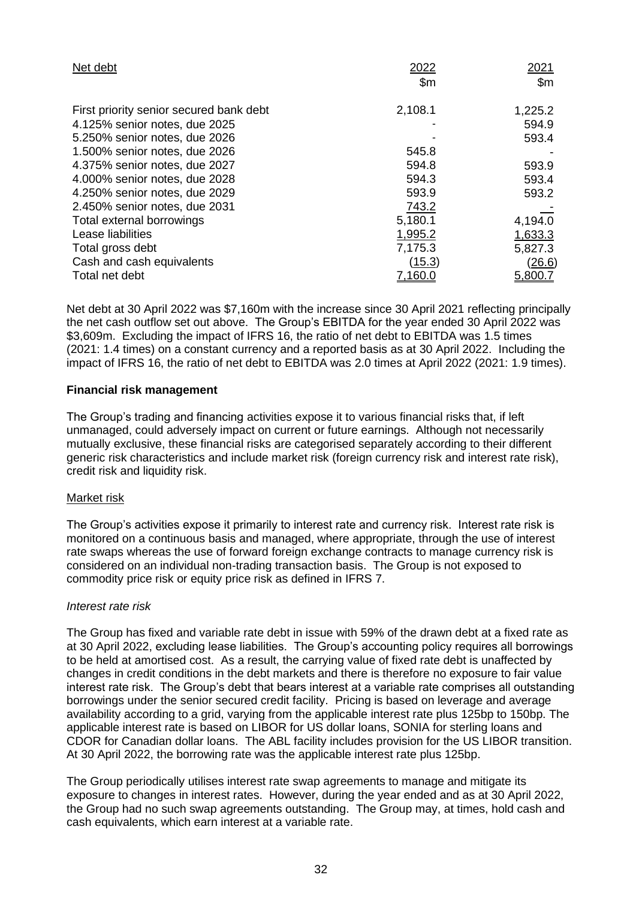| Net debt                                | 2022           | <u> 2021</u>   |
|-----------------------------------------|----------------|----------------|
|                                         | $\mathsf{S}$ m | \$m\$          |
| First priority senior secured bank debt | 2,108.1        | 1,225.2        |
| 4.125% senior notes, due 2025           |                | 594.9          |
| 5.250% senior notes, due 2026           |                | 593.4          |
| 1.500% senior notes, due 2026           | 545.8          |                |
| 4.375% senior notes, due 2027           | 594.8          | 593.9          |
| 4.000% senior notes, due 2028           | 594.3          | 593.4          |
| 4.250% senior notes, due 2029           | 593.9          | 593.2          |
| 2.450% senior notes, due 2031           | 743.2          |                |
| Total external borrowings               | 5,180.1        | 4,194.0        |
| Lease liabilities                       | 1,995.2        | 1,633.3        |
| Total gross debt                        | 7,175.3        | 5,827.3        |
| Cash and cash equivalents               | <u>(15.3)</u>  | <u>(26.6)</u>  |
| Total net debt                          | 7.160.C        | <u>5,800.7</u> |

Net debt at 30 April 2022 was \$7,160m with the increase since 30 April 2021 reflecting principally the net cash outflow set out above. The Group's EBITDA for the year ended 30 April 2022 was \$3,609m. Excluding the impact of IFRS 16, the ratio of net debt to EBITDA was 1.5 times (2021: 1.4 times) on a constant currency and a reported basis as at 30 April 2022. Including the impact of IFRS 16, the ratio of net debt to EBITDA was 2.0 times at April 2022 (2021: 1.9 times).

## **Financial risk management**

The Group's trading and financing activities expose it to various financial risks that, if left unmanaged, could adversely impact on current or future earnings. Although not necessarily mutually exclusive, these financial risks are categorised separately according to their different generic risk characteristics and include market risk (foreign currency risk and interest rate risk), credit risk and liquidity risk.

## Market risk

The Group's activities expose it primarily to interest rate and currency risk. Interest rate risk is monitored on a continuous basis and managed, where appropriate, through the use of interest rate swaps whereas the use of forward foreign exchange contracts to manage currency risk is considered on an individual non-trading transaction basis. The Group is not exposed to commodity price risk or equity price risk as defined in IFRS 7.

#### *Interest rate risk*

The Group has fixed and variable rate debt in issue with 59% of the drawn debt at a fixed rate as at 30 April 2022, excluding lease liabilities. The Group's accounting policy requires all borrowings to be held at amortised cost. As a result, the carrying value of fixed rate debt is unaffected by changes in credit conditions in the debt markets and there is therefore no exposure to fair value interest rate risk. The Group's debt that bears interest at a variable rate comprises all outstanding borrowings under the senior secured credit facility. Pricing is based on leverage and average availability according to a grid, varying from the applicable interest rate plus 125bp to 150bp. The applicable interest rate is based on LIBOR for US dollar loans, SONIA for sterling loans and CDOR for Canadian dollar loans. The ABL facility includes provision for the US LIBOR transition. At 30 April 2022, the borrowing rate was the applicable interest rate plus 125bp.

The Group periodically utilises interest rate swap agreements to manage and mitigate its exposure to changes in interest rates. However, during the year ended and as at 30 April 2022, the Group had no such swap agreements outstanding. The Group may, at times, hold cash and cash equivalents, which earn interest at a variable rate.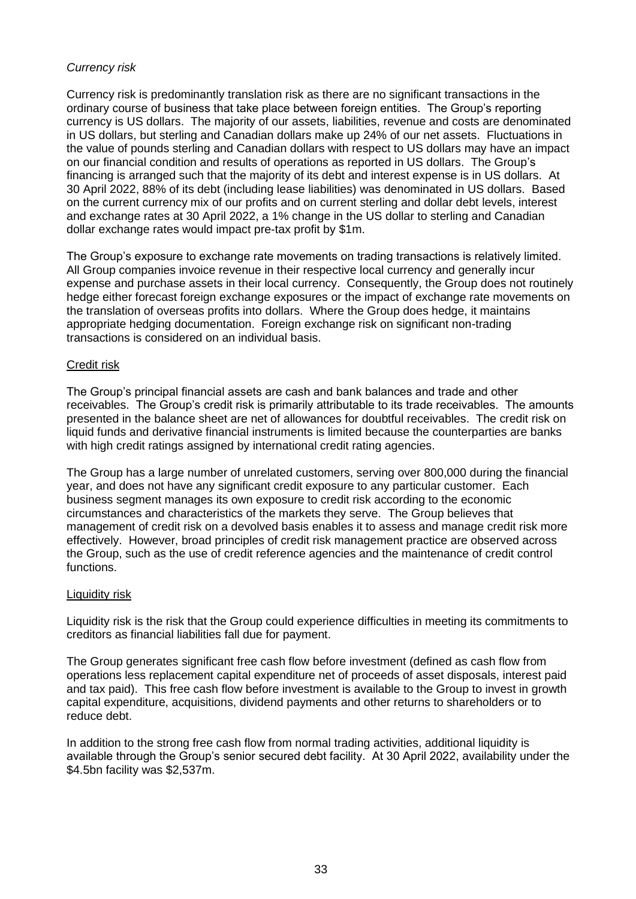# *Currency risk*

Currency risk is predominantly translation risk as there are no significant transactions in the ordinary course of business that take place between foreign entities. The Group's reporting currency is US dollars. The majority of our assets, liabilities, revenue and costs are denominated in US dollars, but sterling and Canadian dollars make up 24% of our net assets. Fluctuations in the value of pounds sterling and Canadian dollars with respect to US dollars may have an impact on our financial condition and results of operations as reported in US dollars. The Group's financing is arranged such that the majority of its debt and interest expense is in US dollars. At 30 April 2022, 88% of its debt (including lease liabilities) was denominated in US dollars. Based on the current currency mix of our profits and on current sterling and dollar debt levels, interest and exchange rates at 30 April 2022, a 1% change in the US dollar to sterling and Canadian dollar exchange rates would impact pre-tax profit by \$1m.

The Group's exposure to exchange rate movements on trading transactions is relatively limited. All Group companies invoice revenue in their respective local currency and generally incur expense and purchase assets in their local currency. Consequently, the Group does not routinely hedge either forecast foreign exchange exposures or the impact of exchange rate movements on the translation of overseas profits into dollars. Where the Group does hedge, it maintains appropriate hedging documentation. Foreign exchange risk on significant non-trading transactions is considered on an individual basis.

## Credit risk

The Group's principal financial assets are cash and bank balances and trade and other receivables. The Group's credit risk is primarily attributable to its trade receivables. The amounts presented in the balance sheet are net of allowances for doubtful receivables. The credit risk on liquid funds and derivative financial instruments is limited because the counterparties are banks with high credit ratings assigned by international credit rating agencies.

The Group has a large number of unrelated customers, serving over 800,000 during the financial year, and does not have any significant credit exposure to any particular customer. Each business segment manages its own exposure to credit risk according to the economic circumstances and characteristics of the markets they serve. The Group believes that management of credit risk on a devolved basis enables it to assess and manage credit risk more effectively. However, broad principles of credit risk management practice are observed across the Group, such as the use of credit reference agencies and the maintenance of credit control functions.

## Liquidity risk

Liquidity risk is the risk that the Group could experience difficulties in meeting its commitments to creditors as financial liabilities fall due for payment.

The Group generates significant free cash flow before investment (defined as cash flow from operations less replacement capital expenditure net of proceeds of asset disposals, interest paid and tax paid). This free cash flow before investment is available to the Group to invest in growth capital expenditure, acquisitions, dividend payments and other returns to shareholders or to reduce debt.

In addition to the strong free cash flow from normal trading activities, additional liquidity is available through the Group's senior secured debt facility. At 30 April 2022, availability under the \$4.5bn facility was \$2,537m.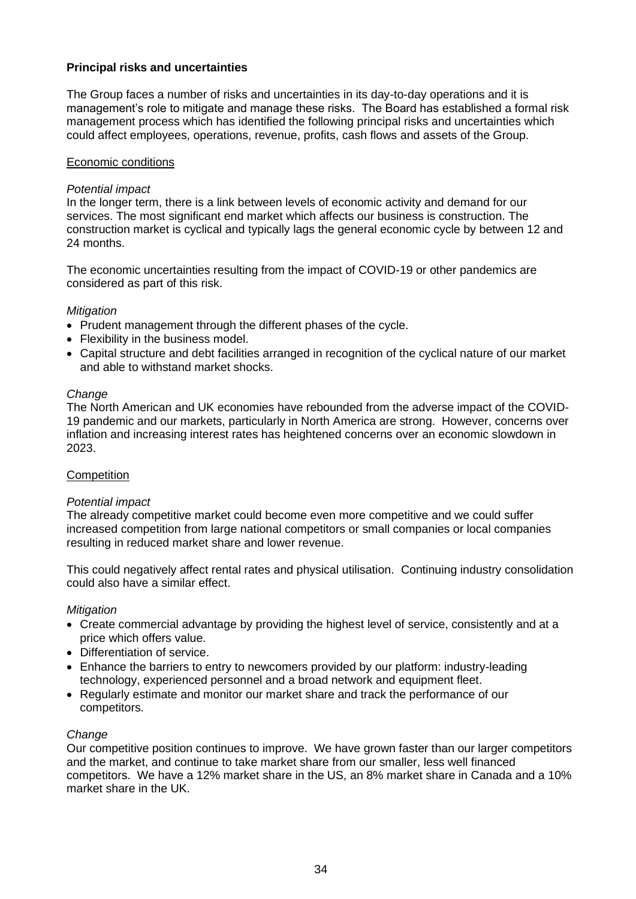# **Principal risks and uncertainties**

The Group faces a number of risks and uncertainties in its day-to-day operations and it is management's role to mitigate and manage these risks. The Board has established a formal risk management process which has identified the following principal risks and uncertainties which could affect employees, operations, revenue, profits, cash flows and assets of the Group.

## Economic conditions

## *Potential impact*

In the longer term, there is a link between levels of economic activity and demand for our services. The most significant end market which affects our business is construction. The construction market is cyclical and typically lags the general economic cycle by between 12 and 24 months.

The economic uncertainties resulting from the impact of COVID-19 or other pandemics are considered as part of this risk.

## *Mitigation*

- Prudent management through the different phases of the cycle.
- Flexibility in the business model.
- Capital structure and debt facilities arranged in recognition of the cyclical nature of our market and able to withstand market shocks.

#### *Change*

The North American and UK economies have rebounded from the adverse impact of the COVID-19 pandemic and our markets, particularly in North America are strong. However, concerns over inflation and increasing interest rates has heightened concerns over an economic slowdown in 2023.

## **Competition**

#### *Potential impact*

The already competitive market could become even more competitive and we could suffer increased competition from large national competitors or small companies or local companies resulting in reduced market share and lower revenue.

This could negatively affect rental rates and physical utilisation. Continuing industry consolidation could also have a similar effect.

#### *Mitigation*

- Create commercial advantage by providing the highest level of service, consistently and at a price which offers value.
- Differentiation of service.
- Enhance the barriers to entry to newcomers provided by our platform: industry-leading technology, experienced personnel and a broad network and equipment fleet.
- Regularly estimate and monitor our market share and track the performance of our competitors.

#### *Change*

Our competitive position continues to improve. We have grown faster than our larger competitors and the market, and continue to take market share from our smaller, less well financed competitors. We have a 12% market share in the US, an 8% market share in Canada and a 10% market share in the UK.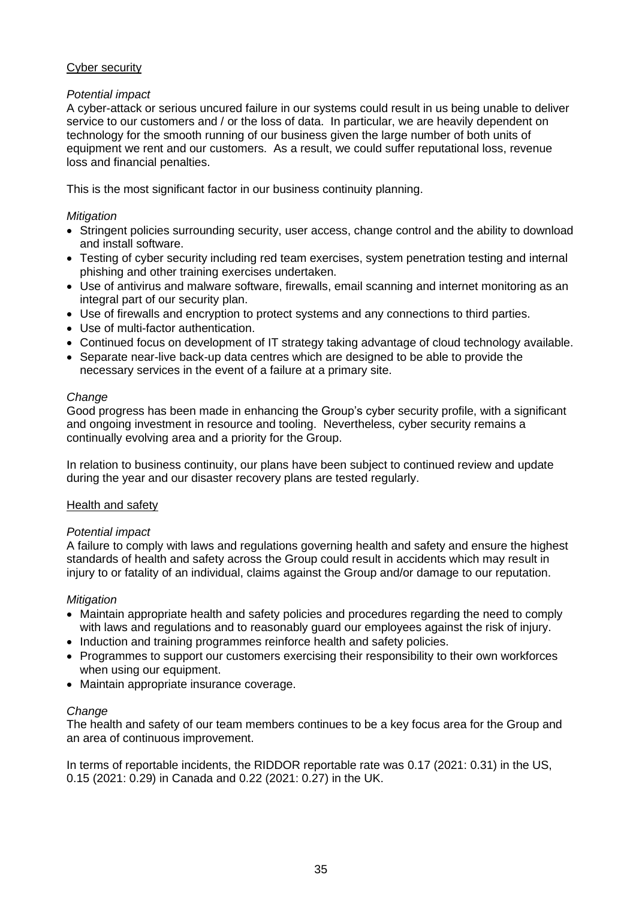# Cyber security

# *Potential impact*

A cyber-attack or serious uncured failure in our systems could result in us being unable to deliver service to our customers and / or the loss of data. In particular, we are heavily dependent on technology for the smooth running of our business given the large number of both units of equipment we rent and our customers. As a result, we could suffer reputational loss, revenue loss and financial penalties.

This is the most significant factor in our business continuity planning.

## *Mitigation*

- Stringent policies surrounding security, user access, change control and the ability to download and install software.
- Testing of cyber security including red team exercises, system penetration testing and internal phishing and other training exercises undertaken.
- Use of antivirus and malware software, firewalls, email scanning and internet monitoring as an integral part of our security plan.
- Use of firewalls and encryption to protect systems and any connections to third parties.
- Use of multi-factor authentication.
- Continued focus on development of IT strategy taking advantage of cloud technology available.
- Separate near-live back-up data centres which are designed to be able to provide the necessary services in the event of a failure at a primary site.

## *Change*

Good progress has been made in enhancing the Group's cyber security profile, with a significant and ongoing investment in resource and tooling. Nevertheless, cyber security remains a continually evolving area and a priority for the Group.

In relation to business continuity, our plans have been subject to continued review and update during the year and our disaster recovery plans are tested regularly.

## Health and safety

## *Potential impact*

A failure to comply with laws and regulations governing health and safety and ensure the highest standards of health and safety across the Group could result in accidents which may result in injury to or fatality of an individual, claims against the Group and/or damage to our reputation.

## *Mitigation*

- Maintain appropriate health and safety policies and procedures regarding the need to comply with laws and regulations and to reasonably guard our employees against the risk of injury.
- Induction and training programmes reinforce health and safety policies.
- Programmes to support our customers exercising their responsibility to their own workforces when using our equipment.
- Maintain appropriate insurance coverage.

## *Change*

The health and safety of our team members continues to be a key focus area for the Group and an area of continuous improvement.

In terms of reportable incidents, the RIDDOR reportable rate was 0.17 (2021: 0.31) in the US, 0.15 (2021: 0.29) in Canada and 0.22 (2021: 0.27) in the UK.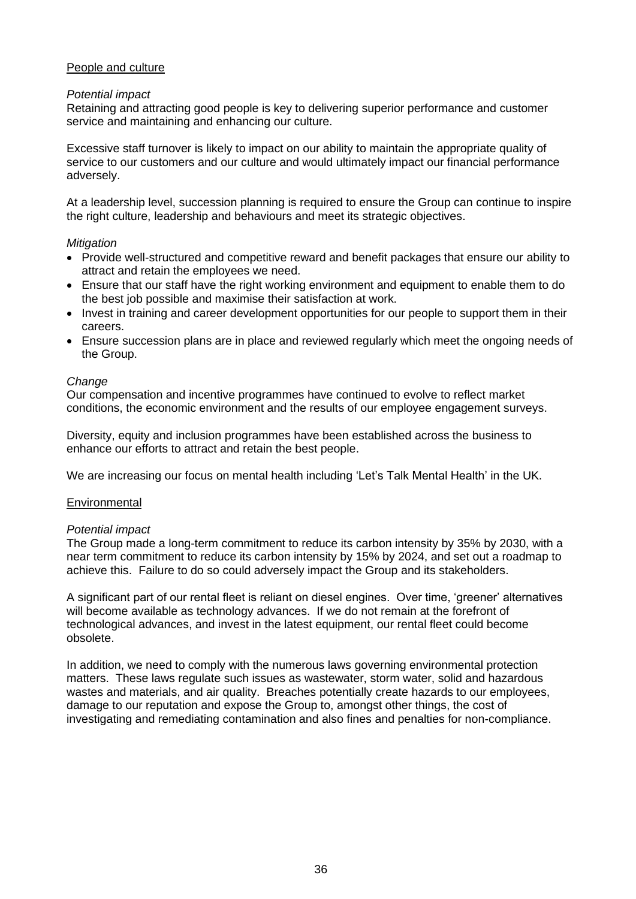## People and culture

#### *Potential impact*

Retaining and attracting good people is key to delivering superior performance and customer service and maintaining and enhancing our culture.

Excessive staff turnover is likely to impact on our ability to maintain the appropriate quality of service to our customers and our culture and would ultimately impact our financial performance adversely.

At a leadership level, succession planning is required to ensure the Group can continue to inspire the right culture, leadership and behaviours and meet its strategic objectives.

## *Mitigation*

- Provide well-structured and competitive reward and benefit packages that ensure our ability to attract and retain the employees we need.
- Ensure that our staff have the right working environment and equipment to enable them to do the best job possible and maximise their satisfaction at work.
- Invest in training and career development opportunities for our people to support them in their careers.
- Ensure succession plans are in place and reviewed regularly which meet the ongoing needs of the Group.

## *Change*

Our compensation and incentive programmes have continued to evolve to reflect market conditions, the economic environment and the results of our employee engagement surveys.

Diversity, equity and inclusion programmes have been established across the business to enhance our efforts to attract and retain the best people.

We are increasing our focus on mental health including 'Let's Talk Mental Health' in the UK.

#### **Environmental**

#### *Potential impact*

The Group made a long-term commitment to reduce its carbon intensity by 35% by 2030, with a near term commitment to reduce its carbon intensity by 15% by 2024, and set out a roadmap to achieve this. Failure to do so could adversely impact the Group and its stakeholders.

A significant part of our rental fleet is reliant on diesel engines. Over time, 'greener' alternatives will become available as technology advances. If we do not remain at the forefront of technological advances, and invest in the latest equipment, our rental fleet could become obsolete.

In addition, we need to comply with the numerous laws governing environmental protection matters. These laws regulate such issues as wastewater, storm water, solid and hazardous wastes and materials, and air quality. Breaches potentially create hazards to our employees, damage to our reputation and expose the Group to, amongst other things, the cost of investigating and remediating contamination and also fines and penalties for non-compliance.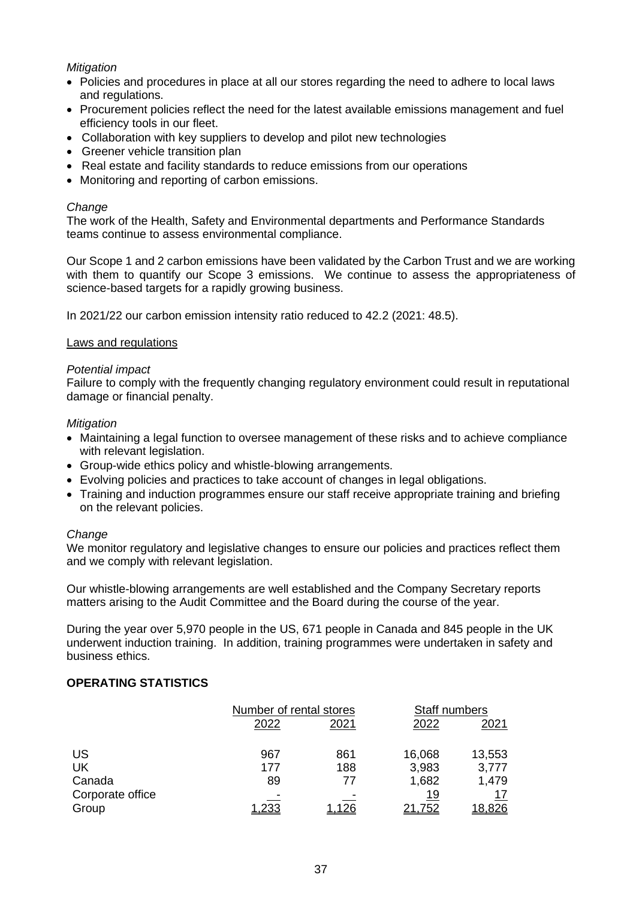## *Mitigation*

- Policies and procedures in place at all our stores regarding the need to adhere to local laws and regulations.
- Procurement policies reflect the need for the latest available emissions management and fuel efficiency tools in our fleet.
- Collaboration with key suppliers to develop and pilot new technologies
- Greener vehicle transition plan
- Real estate and facility standards to reduce emissions from our operations
- Monitoring and reporting of carbon emissions.

## *Change*

The work of the Health, Safety and Environmental departments and Performance Standards teams continue to assess environmental compliance.

Our Scope 1 and 2 carbon emissions have been validated by the Carbon Trust and we are working with them to quantify our Scope 3 emissions. We continue to assess the appropriateness of science-based targets for a rapidly growing business.

In 2021/22 our carbon emission intensity ratio reduced to 42.2 (2021: 48.5).

## Laws and regulations

## *Potential impact*

Failure to comply with the frequently changing regulatory environment could result in reputational damage or financial penalty.

## *Mitigation*

- Maintaining a legal function to oversee management of these risks and to achieve compliance with relevant legislation.
- Group-wide ethics policy and whistle-blowing arrangements.
- Evolving policies and practices to take account of changes in legal obligations.
- Training and induction programmes ensure our staff receive appropriate training and briefing on the relevant policies.

#### *Change*

We monitor regulatory and legislative changes to ensure our policies and practices reflect them and we comply with relevant legislation.

Our whistle-blowing arrangements are well established and the Company Secretary reports matters arising to the Audit Committee and the Board during the course of the year.

During the year over 5,970 people in the US, 671 people in Canada and 845 people in the UK underwent induction training. In addition, training programmes were undertaken in safety and business ethics.

# **OPERATING STATISTICS**

|                  | Number of rental stores |      | Staff numbers |        |
|------------------|-------------------------|------|---------------|--------|
|                  | 2022                    | 2021 | 2022          | 2021   |
| US               | 967                     | 861  | 16,068        | 13,553 |
| UK               | 177                     | 188  | 3,983         | 3,777  |
| Canada           | 89                      | 77   | 1,682         | 1,479  |
| Corporate office |                         |      | 19            | 17     |
| Group            | <u>1,233</u>            |      | 21,752        | 18,826 |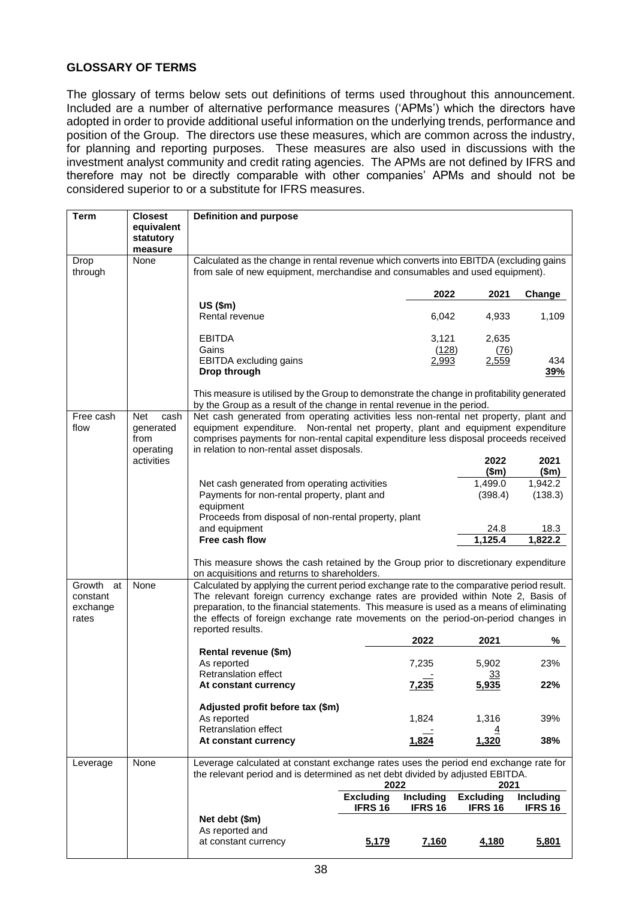# **GLOSSARY OF TERMS**

The glossary of terms below sets out definitions of terms used throughout this announcement. Included are a number of alternative performance measures ('APMs') which the directors have adopted in order to provide additional useful information on the underlying trends, performance and position of the Group. The directors use these measures, which are common across the industry, for planning and reporting purposes. These measures are also used in discussions with the investment analyst community and credit rating agencies. The APMs are not defined by IFRS and therefore may not be directly comparable with other companies' APMs and should not be considered superior to or a substitute for IFRS measures.

| <b>Term</b>  | <b>Closest</b>          | <b>Definition and purpose</b>                                                                                                                                         |                          |                  |                          |                      |  |
|--------------|-------------------------|-----------------------------------------------------------------------------------------------------------------------------------------------------------------------|--------------------------|------------------|--------------------------|----------------------|--|
|              | equivalent              |                                                                                                                                                                       |                          |                  |                          |                      |  |
|              | statutory               |                                                                                                                                                                       |                          |                  |                          |                      |  |
|              | measure                 |                                                                                                                                                                       |                          |                  |                          |                      |  |
| Drop         | None                    | Calculated as the change in rental revenue which converts into EBITDA (excluding gains                                                                                |                          |                  |                          |                      |  |
| through      |                         | from sale of new equipment, merchandise and consumables and used equipment).                                                                                          |                          |                  |                          |                      |  |
|              |                         |                                                                                                                                                                       |                          | 2022             | 2021                     | Change               |  |
|              |                         | US (\$m)                                                                                                                                                              |                          |                  |                          |                      |  |
|              |                         | Rental revenue                                                                                                                                                        |                          | 6,042            | 4,933                    | 1,109                |  |
|              |                         | <b>EBITDA</b>                                                                                                                                                         |                          | 3,121            | 2,635                    |                      |  |
|              |                         | Gains                                                                                                                                                                 |                          | (128)            | (76)                     |                      |  |
|              |                         | EBITDA excluding gains                                                                                                                                                |                          | 2,993            | 2,559                    | 434                  |  |
|              |                         | Drop through                                                                                                                                                          |                          |                  |                          | 39%                  |  |
|              |                         | This measure is utilised by the Group to demonstrate the change in profitability generated<br>by the Group as a result of the change in rental revenue in the period. |                          |                  |                          |                      |  |
| Free cash    | Net<br>cash             | Net cash generated from operating activities less non-rental net property, plant and                                                                                  |                          |                  |                          |                      |  |
| flow         | generated               | equipment expenditure. Non-rental net property, plant and equipment expenditure                                                                                       |                          |                  |                          |                      |  |
|              | from                    | comprises payments for non-rental capital expenditure less disposal proceeds received<br>in relation to non-rental asset disposals.                                   |                          |                  |                          |                      |  |
|              | operating<br>activities |                                                                                                                                                                       |                          |                  | 2022                     | 2021                 |  |
|              |                         |                                                                                                                                                                       |                          |                  | \$m\$                    | \$m\$                |  |
|              |                         | Net cash generated from operating activities                                                                                                                          |                          |                  | 1,499.0                  | 1,942.2              |  |
|              |                         | Payments for non-rental property, plant and                                                                                                                           |                          |                  | (398.4)                  | (138.3)              |  |
|              |                         | equipment                                                                                                                                                             |                          |                  |                          |                      |  |
|              |                         | Proceeds from disposal of non-rental property, plant                                                                                                                  |                          |                  |                          |                      |  |
|              |                         | and equipment<br>Free cash flow                                                                                                                                       |                          |                  | 24.8<br>1,125.4          | 18.3                 |  |
|              |                         |                                                                                                                                                                       |                          |                  |                          | 1,822.2              |  |
|              |                         | This measure shows the cash retained by the Group prior to discretionary expenditure<br>on acquisitions and returns to shareholders.                                  |                          |                  |                          |                      |  |
| Growth<br>at | None                    | Calculated by applying the current period exchange rate to the comparative period result.                                                                             |                          |                  |                          |                      |  |
| constant     |                         | The relevant foreign currency exchange rates are provided within Note 2, Basis of                                                                                     |                          |                  |                          |                      |  |
| exchange     |                         | preparation, to the financial statements. This measure is used as a means of eliminating                                                                              |                          |                  |                          |                      |  |
| rates        |                         | the effects of foreign exchange rate movements on the period-on-period changes in                                                                                     |                          |                  |                          |                      |  |
|              |                         | reported results.                                                                                                                                                     |                          | 2022             | 2021                     | %                    |  |
|              |                         | Rental revenue (\$m)                                                                                                                                                  |                          |                  |                          |                      |  |
|              |                         | As reported                                                                                                                                                           |                          | 7,235            | 5,902                    | 23%                  |  |
|              |                         | <b>Retranslation effect</b>                                                                                                                                           |                          |                  | 33                       |                      |  |
|              |                         | At constant currencv                                                                                                                                                  |                          | 7,235            | 5,935                    | 22%                  |  |
|              |                         | Adjusted profit before tax (\$m)                                                                                                                                      |                          |                  |                          |                      |  |
|              |                         | As reported                                                                                                                                                           |                          | 1,824            | 1,316                    | 39%                  |  |
|              |                         | Retranslation effect                                                                                                                                                  |                          |                  |                          |                      |  |
|              |                         | At constant currency                                                                                                                                                  |                          | 1,824            | 1,320                    | 38%                  |  |
| Leverage     | None                    | Leverage calculated at constant exchange rates uses the period end exchange rate for                                                                                  |                          |                  |                          |                      |  |
|              |                         | the relevant period and is determined as net debt divided by adjusted EBITDA.                                                                                         |                          |                  |                          |                      |  |
|              |                         |                                                                                                                                                                       | 2022<br><b>Excluding</b> | <b>Including</b> | 2021<br><b>Excluding</b> |                      |  |
|              |                         |                                                                                                                                                                       | <b>IFRS 16</b>           | <b>IFRS 16</b>   | <b>IFRS 16</b>           | Including<br>IFRS 16 |  |
|              |                         | Net debt (\$m)                                                                                                                                                        |                          |                  |                          |                      |  |
|              |                         | As reported and                                                                                                                                                       |                          |                  |                          |                      |  |
|              |                         | at constant currency                                                                                                                                                  | 5,179                    | 7,160            | 4,180                    | 5,801                |  |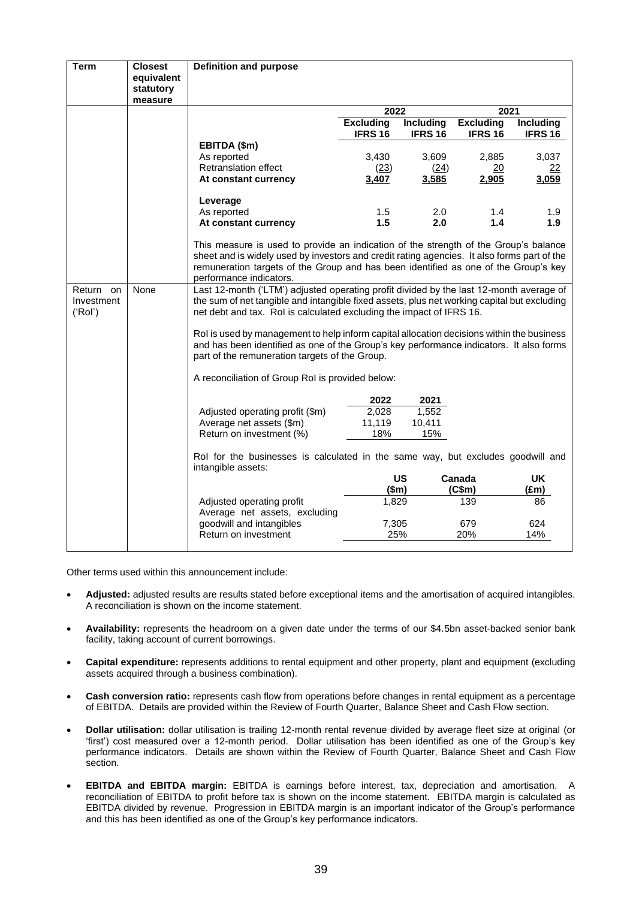| <b>Term</b> | <b>Closest</b> | <b>Definition and purpose</b>                                                                         |                    |                    |                    |                    |
|-------------|----------------|-------------------------------------------------------------------------------------------------------|--------------------|--------------------|--------------------|--------------------|
|             | equivalent     |                                                                                                       |                    |                    |                    |                    |
|             | statutory      |                                                                                                       |                    |                    |                    |                    |
|             | measure        |                                                                                                       |                    |                    |                    |                    |
|             |                |                                                                                                       | 2022<br>2021       |                    |                    |                    |
|             |                |                                                                                                       | <b>Excluding</b>   | Including          | <b>Excluding</b>   | <b>Including</b>   |
|             |                |                                                                                                       | IFRS <sub>16</sub> | IFRS <sub>16</sub> | IFRS <sub>16</sub> | IFRS <sub>16</sub> |
|             |                | EBITDA (\$m)                                                                                          |                    |                    |                    |                    |
|             |                | As reported                                                                                           | 3,430              | 3,609              | 2,885              | 3,037              |
|             |                | Retranslation effect                                                                                  | (23)               | (24)               | 20                 | 22                 |
|             |                | At constant currency                                                                                  | 3,407              | 3,585              | 2,905              | 3,059              |
|             |                | Leverage                                                                                              |                    |                    |                    |                    |
|             |                | As reported                                                                                           | 1.5                | 2.0                | 1.4                | 1.9                |
|             |                | At constant currency                                                                                  | 1.5                | 2.0                | 1.4                | 1.9                |
|             |                |                                                                                                       |                    |                    |                    |                    |
|             |                | This measure is used to provide an indication of the strength of the Group's balance                  |                    |                    |                    |                    |
|             |                | sheet and is widely used by investors and credit rating agencies. It also forms part of the           |                    |                    |                    |                    |
|             |                | remuneration targets of the Group and has been identified as one of the Group's key                   |                    |                    |                    |                    |
|             |                | performance indicators.                                                                               |                    |                    |                    |                    |
| Return on   | None           | Last 12-month ('LTM') adjusted operating profit divided by the last 12-month average of               |                    |                    |                    |                    |
| Investment  |                | the sum of net tangible and intangible fixed assets, plus net working capital but excluding           |                    |                    |                    |                    |
| ('Rol')     |                | net debt and tax. Rol is calculated excluding the impact of IFRS 16.                                  |                    |                    |                    |                    |
|             |                | Rol is used by management to help inform capital allocation decisions within the business             |                    |                    |                    |                    |
|             |                | and has been identified as one of the Group's key performance indicators. It also forms               |                    |                    |                    |                    |
|             |                | part of the remuneration targets of the Group.                                                        |                    |                    |                    |                    |
|             |                | A reconciliation of Group RoI is provided below:                                                      |                    |                    |                    |                    |
|             |                |                                                                                                       |                    |                    |                    |                    |
|             |                |                                                                                                       | 2022               | 2021               |                    |                    |
|             |                | Adjusted operating profit (\$m)                                                                       | 2,028              | 1,552              |                    |                    |
|             |                | Average net assets (\$m)                                                                              | 11,119             | 10,411             |                    |                    |
|             |                | Return on investment (%)                                                                              | 18%                | 15%                |                    |                    |
|             |                | Rol for the businesses is calculated in the same way, but excludes goodwill and<br>intangible assets: |                    |                    |                    |                    |
|             |                |                                                                                                       |                    | US                 | Canada             | UK                 |
|             |                |                                                                                                       | \$m\$              |                    | (C\$m)             | (£m)               |
|             |                | Adjusted operating profit                                                                             | 1,829              |                    | 139                | 86                 |
|             |                | Average net assets, excluding                                                                         |                    |                    |                    |                    |
|             |                | goodwill and intangibles                                                                              | 7,305              |                    | 679                | 624                |
|             |                | Return on investment                                                                                  | 25%                |                    | 20%                | 14%                |
|             |                |                                                                                                       |                    |                    |                    |                    |

Other terms used within this announcement include:

- **Adjusted:** adjusted results are results stated before exceptional items and the amortisation of acquired intangibles. A reconciliation is shown on the income statement.
- **Availability:** represents the headroom on a given date under the terms of our \$4.5bn asset-backed senior bank facility, taking account of current borrowings.
- **Capital expenditure:** represents additions to rental equipment and other property, plant and equipment (excluding assets acquired through a business combination).
- **Cash conversion ratio:** represents cash flow from operations before changes in rental equipment as a percentage of EBITDA. Details are provided within the Review of Fourth Quarter, Balance Sheet and Cash Flow section.
- **Dollar utilisation:** dollar utilisation is trailing 12-month rental revenue divided by average fleet size at original (or 'first') cost measured over a 12-month period. Dollar utilisation has been identified as one of the Group's key performance indicators. Details are shown within the Review of Fourth Quarter, Balance Sheet and Cash Flow section.
- **EBITDA and EBITDA margin:** EBITDA is earnings before interest, tax, depreciation and amortisation. A reconciliation of EBITDA to profit before tax is shown on the income statement. EBITDA margin is calculated as EBITDA divided by revenue. Progression in EBITDA margin is an important indicator of the Group's performance and this has been identified as one of the Group's key performance indicators.